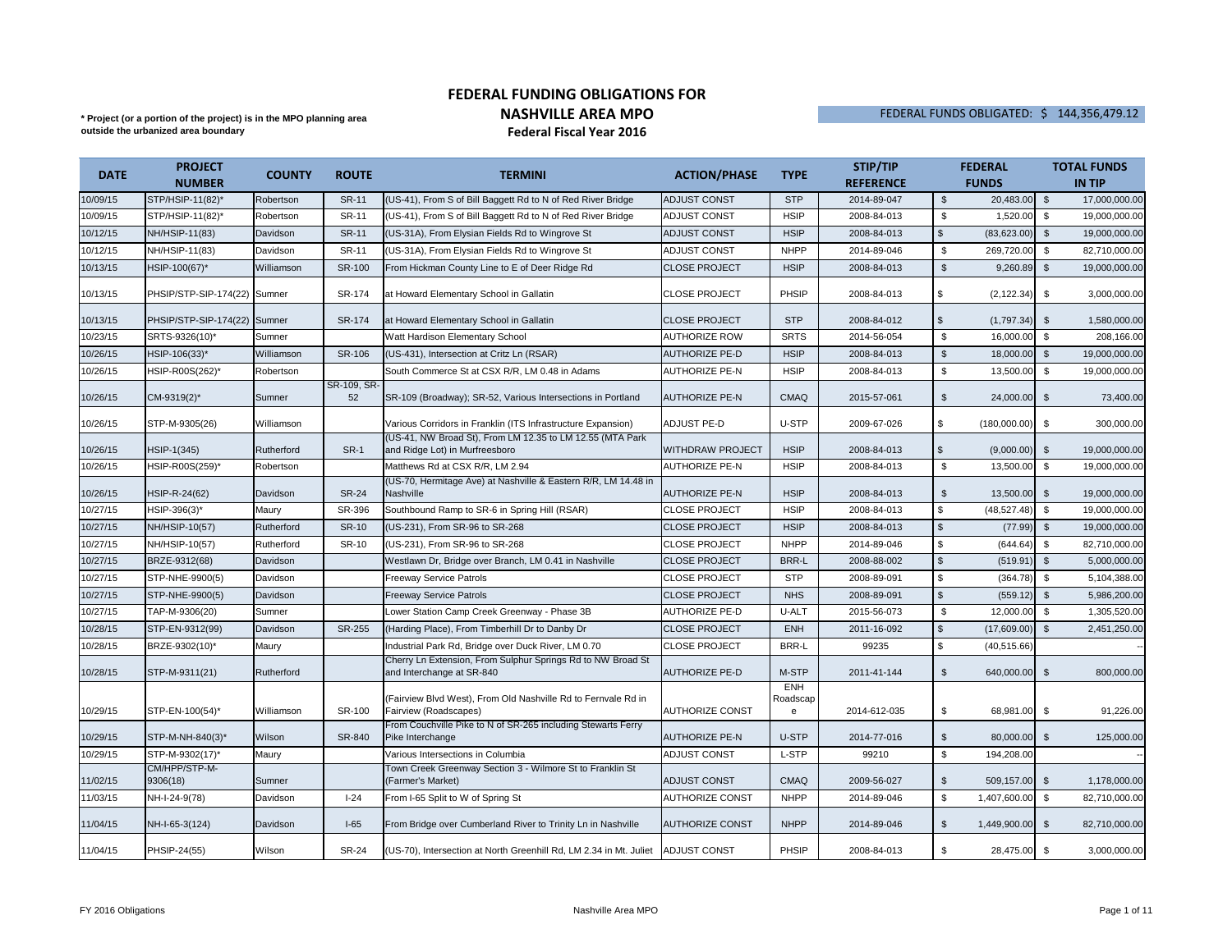## \* Project (or a portion of the project) is in the MPO planning area **the contract of the State of the Project** or a portion of the project) is in the MPO planning area **in the MPO of the State of the State of the State of FEDERAL FUNDING OBLIGATIONS FOR NASHVILLE AREA MPOFederal Fiscal Year 2016**

**outside the urbanized area boundary**

## FEDERAL FUNDS OBLIGATED: \$ 144,356,479.12

| <b>DATE</b> | <b>PROJECT</b>               | <b>COUNTY</b> | <b>ROUTE</b>      | <b>TERMINI</b>                                                                              |                         | <b>TYPE</b>                 | STIP/TIP         |                    | <b>FEDERAL</b> |                | <b>TOTAL FUNDS</b> |
|-------------|------------------------------|---------------|-------------------|---------------------------------------------------------------------------------------------|-------------------------|-----------------------------|------------------|--------------------|----------------|----------------|--------------------|
|             | <b>NUMBER</b>                |               |                   |                                                                                             | <b>ACTION/PHASE</b>     |                             | <b>REFERENCE</b> |                    | <b>FUNDS</b>   |                | <b>IN TIP</b>      |
| 10/09/15    | STP/HSIP-11(82)*             | Robertson     | <b>SR-11</b>      | (US-41), From S of Bill Baggett Rd to N of Red River Bridge                                 | <b>ADJUST CONST</b>     | <b>STP</b>                  | 2014-89-047      | $\mathbb{S}$       | 20,483.00      | $\mathfrak{s}$ | 17,000,000.00      |
| 10/09/15    | STP/HSIP-11(82)*             | Robertson     | SR-11             | (US-41), From S of Bill Baggett Rd to N of Red River Bridge                                 | <b>ADJUST CONST</b>     | <b>HSIP</b>                 | 2008-84-013      | \$                 | 1,520.00       | \$             | 19,000,000.00      |
| 10/12/15    | NH/HSIP-11(83)               | Davidson      | <b>SR-11</b>      | (US-31A), From Elysian Fields Rd to Wingrove St                                             | <b>ADJUST CONST</b>     | <b>HSIP</b>                 | 2008-84-013      | $\mathfrak s$      | (83,623.00)    | $\mathfrak{s}$ | 19,000,000.00      |
| 10/12/15    | NH/HSIP-11(83)               | Davidson      | SR-11             | (US-31A), From Elysian Fields Rd to Wingrove St                                             | <b>ADJUST CONST</b>     | <b>NHPP</b>                 | 2014-89-046      | \$                 | 269,720.00     | \$             | 82,710,000.00      |
| 10/13/15    | HSIP-100(67)*                | Williamson    | SR-100            | From Hickman County Line to E of Deer Ridge Rd                                              | <b>CLOSE PROJECT</b>    | <b>HSIP</b>                 | 2008-84-013      | $\mathbb{S}$       | 9,260.89       | \$             | 19,000,000.00      |
| 10/13/15    | PHSIP/STP-SIP-174(22) Sumner |               | SR-174            | at Howard Elementary School in Gallatin                                                     | <b>CLOSE PROJECT</b>    | PHSIP                       | 2008-84-013      | \$                 | (2, 122.34)    | \$             | 3,000,000.00       |
| 10/13/15    | PHSIP/STP-SIP-174(22) Sumner |               | SR-174            | at Howard Elementary School in Gallatin                                                     | <b>CLOSE PROJECT</b>    | <b>STP</b>                  | 2008-84-012      | \$                 | (1,797.34)     | \$             | 1,580,000.00       |
| 10/23/15    | SRTS-9326(10)*               | Sumner        |                   | Watt Hardison Elementary School                                                             | AUTHORIZE ROW           | <b>SRTS</b>                 | 2014-56-054      | \$                 | 16,000.00      | \$             | 208,166.00         |
| 10/26/15    | HSIP-106(33)*                | Williamson    | SR-106            | (US-431), Intersection at Critz Ln (RSAR)                                                   | <b>AUTHORIZE PE-D</b>   | <b>HSIP</b>                 | 2008-84-013      | $\mathbb{S}$       | 18,000.00      | $\mathfrak{s}$ | 19,000,000.00      |
| 10/26/15    | HSIP-R00S(262)*              | Robertson     |                   | South Commerce St at CSX R/R, LM 0.48 in Adams                                              | <b>AUTHORIZE PE-N</b>   | <b>HSIP</b>                 | 2008-84-013      | $\mathbf{\hat{s}}$ | 13.500.00      | \$             | 19,000,000.00      |
| 10/26/15    | CM-9319(2)*                  | Sumner        | SR-109, SR-<br>52 | SR-109 (Broadway); SR-52, Various Intersections in Portland                                 | <b>AUTHORIZE PE-N</b>   | <b>CMAQ</b>                 | 2015-57-061      | \$                 | 24,000.00 \$   |                | 73,400.00          |
| 10/26/15    | STP-M-9305(26)               | Williamson    |                   | Various Corridors in Franklin (ITS Infrastructure Expansion)                                | ADJUST PE-D             | U-STP                       | 2009-67-026      | \$                 | (180,000.00)   | \$             | 300,000.00         |
| 10/26/15    | HSIP-1(345)                  | Rutherford    | <b>SR-1</b>       | (US-41, NW Broad St), From LM 12.35 to LM 12.55 (MTA Park<br>and Ridge Lot) in Murfreesboro | <b>WITHDRAW PROJECT</b> | <b>HSIP</b>                 | 2008-84-013      | \$                 | (9,000.00)     | \$             | 19,000,000.00      |
| 10/26/15    | HSIP-R00S(259)*              | Robertson     |                   | Matthews Rd at CSX R/R, LM 2.94                                                             | AUTHORIZE PE-N          | <b>HSIP</b>                 | 2008-84-013      | $$\mathbb{S}$$     | 13,500.00      | $\mathfrak s$  | 19,000,000.00      |
| 10/26/15    | HSIP-R-24(62)                | Davidson      | <b>SR-24</b>      | (US-70, Hermitage Ave) at Nashville & Eastern R/R, LM 14.48 in<br>Nashville                 | <b>AUTHORIZE PE-N</b>   | <b>HSIP</b>                 | 2008-84-013      | \$                 | 13,500.00      | \$             | 19,000,000.00      |
| 10/27/15    | HSIP-396(3)*                 | Maury         | SR-396            | Southbound Ramp to SR-6 in Spring Hill (RSAR)                                               | <b>CLOSE PROJECT</b>    | <b>HSIP</b>                 | 2008-84-013      | \$                 | (48, 527.48)   | \$             | 19,000,000.00      |
| 10/27/15    | NH/HSIP-10(57)               | Rutherford    | <b>SR-10</b>      | (US-231), From SR-96 to SR-268                                                              | <b>CLOSE PROJECT</b>    | <b>HSIP</b>                 | 2008-84-013      | $\mathfrak s$      | (77.99)        | $\mathbb{S}$   | 19,000,000.00      |
| 10/27/15    | NH/HSIP-10(57)               | Rutherford    | SR-10             | (US-231). From SR-96 to SR-268                                                              | <b>CLOSE PROJECT</b>    | <b>NHPP</b>                 | 2014-89-046      | \$                 | (644.64)       | \$             | 82,710,000.00      |
| 10/27/15    | BRZE-9312(68)                | Davidson      |                   | Westlawn Dr, Bridge over Branch, LM 0.41 in Nashville                                       | <b>CLOSE PROJECT</b>    | <b>BRR-L</b>                | 2008-88-002      | $\mathfrak{s}$     | (519.91)       | $\mathfrak{s}$ | 5,000,000.00       |
| 10/27/15    | STP-NHE-9900(5)              | Davidson      |                   | Freeway Service Patrols                                                                     | <b>CLOSE PROJECT</b>    | <b>STP</b>                  | 2008-89-091      | \$                 | (364.78)       | \$             | 5,104,388.00       |
| 10/27/15    | STP-NHE-9900(5)              | Davidson      |                   | <b>Freeway Service Patrols</b>                                                              | <b>CLOSE PROJECT</b>    | <b>NHS</b>                  | 2008-89-091      | $\mathfrak{s}$     | (559.12)       | \$             | 5,986,200.00       |
| 10/27/15    | TAP-M-9306(20)               | Sumner        |                   | Lower Station Camp Creek Greenway - Phase 3B                                                | <b>AUTHORIZE PE-D</b>   | U-ALT                       | 2015-56-073      | $$\mathbb{S}$$     | 12,000.00      | \$             | 1,305,520.00       |
| 10/28/15    | STP-EN-9312(99)              | Davidson      | SR-255            | (Harding Place), From Timberhill Dr to Danby Dr                                             | <b>CLOSE PROJECT</b>    | ENH                         | 2011-16-092      | $\mathfrak s$      | (17,609.00)    | $$\mathbb{S}$$ | 2,451,250.00       |
| 10/28/15    | BRZE-9302(10)*               | Maury         |                   | ndustrial Park Rd, Bridge over Duck River, LM 0.70                                          | <b>CLOSE PROJECT</b>    | <b>BRR-L</b>                | 99235            | \$.                | (40, 515.66)   |                |                    |
| 10/28/15    | STP-M-9311(21)               | Rutherford    |                   | Cherry Ln Extension, From Sulphur Springs Rd to NW Broad St<br>and Interchange at SR-840    | <b>AUTHORIZE PE-D</b>   | M-STP                       | 2011-41-144      | $\mathfrak{s}$     | 640,000.00     | \$             | 800,000.00         |
| 10/29/15    | STP-EN-100(54)*              | Williamson    | SR-100            | (Fairview Blvd West), From Old Nashville Rd to Fernvale Rd in<br>Fairview (Roadscapes)      | AUTHORIZE CONST         | <b>ENH</b><br>Roadscap<br>e | 2014-612-035     | \$                 | 68,981.00      | \$             | 91,226.00          |
| 10/29/15    | STP-M-NH-840(3)*             | Wilson        | SR-840            | From Couchville Pike to N of SR-265 including Stewarts Ferry<br>Pike Interchange            | <b>AUTHORIZE PE-N</b>   | U-STP                       | 2014-77-016      | $\mathfrak{S}$     | 80,000.00      | \$             | 125,000.00         |
| 10/29/15    | STP-M-9302(17)*              | Maury         |                   | Various Intersections in Columbia                                                           | <b>ADJUST CONST</b>     | L-STP                       | 99210            | $\mathfrak{s}$     | 194,208.00     |                |                    |
| 11/02/15    | CM/HPP/STP-M-<br>9306(18)    | Sumner        |                   | Town Creek Greenway Section 3 - Wilmore St to Franklin St<br>(Farmer's Market)              | ADJUST CONST            | <b>CMAQ</b>                 | 2009-56-027      | $\mathfrak{s}$     | 509,157.00     | $\mathfrak{s}$ | 1,178,000.00       |
| 11/03/15    | NH-I-24-9(78)                | Davidson      | $I-24$            | From I-65 Split to W of Spring St                                                           | AUTHORIZE CONST         | <b>NHPP</b>                 | 2014-89-046      | \$                 | 1,407,600.00   | \$             | 82,710,000.00      |
| 11/04/15    | NH-I-65-3(124)               | Davidson      | $I-65$            | From Bridge over Cumberland River to Trinity Ln in Nashville                                | <b>AUTHORIZE CONST</b>  | <b>NHPP</b>                 | 2014-89-046      | $\mathfrak{S}$     | 1,449,900.00   | \$             | 82,710,000.00      |
| 11/04/15    | PHSIP-24(55)                 | Wilson        | <b>SR-24</b>      | (US-70), Intersection at North Greenhill Rd, LM 2.34 in Mt. Juliet                          | <b>ADJUST CONST</b>     | PHSIP                       | 2008-84-013      | \$                 | 28,475.00 \$   |                | 3,000,000.00       |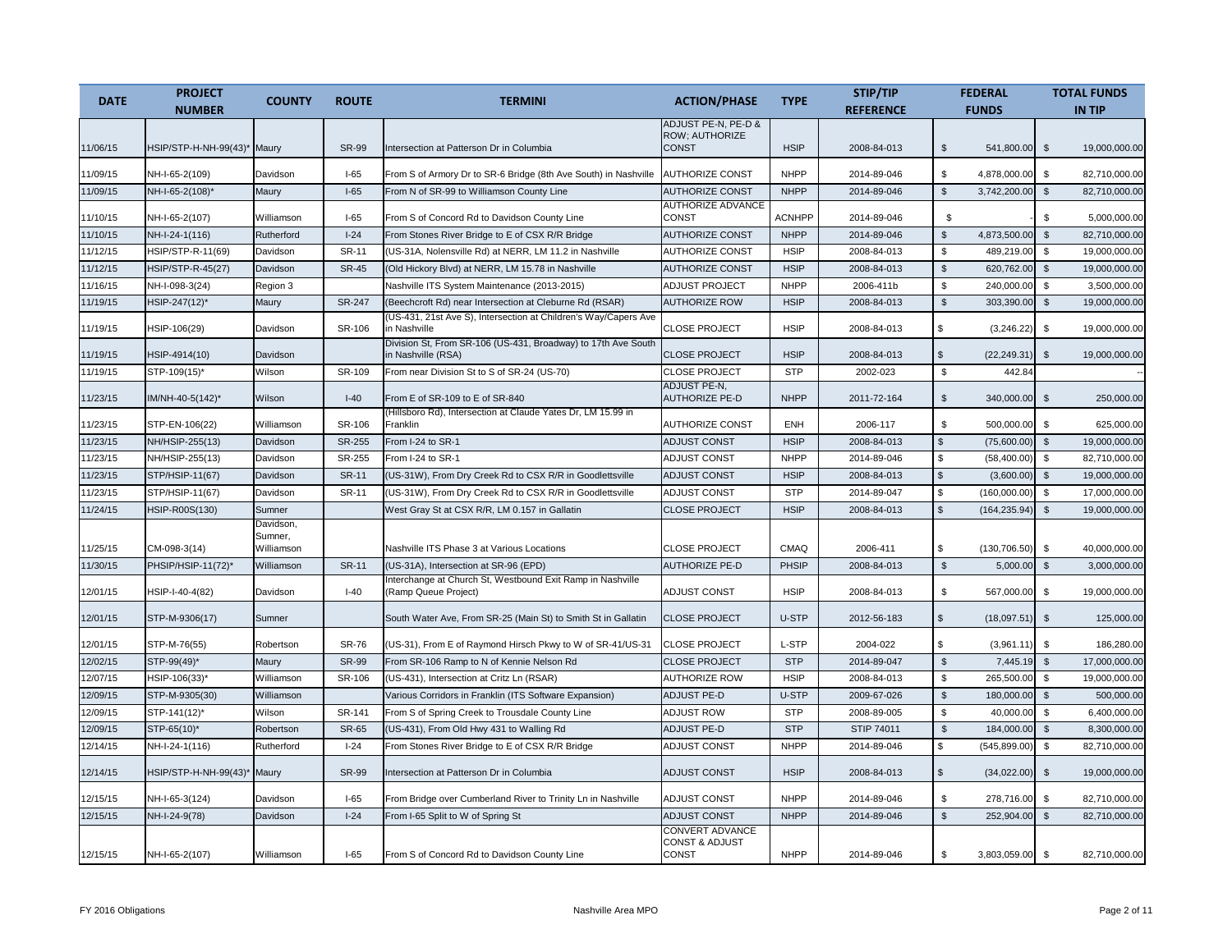| <b>DATE</b>          | <b>PROJECT</b>                        | <b>COUNTY</b>          | <b>ROUTE</b>  |                                                                                                                             |                                                              | <b>TYPE</b>   | STIP/TIP                   |                      | <b>FEDERAL</b>            |                    | <b>TOTAL FUNDS</b>            |
|----------------------|---------------------------------------|------------------------|---------------|-----------------------------------------------------------------------------------------------------------------------------|--------------------------------------------------------------|---------------|----------------------------|----------------------|---------------------------|--------------------|-------------------------------|
|                      | <b>NUMBER</b>                         |                        |               | <b>TERMINI</b>                                                                                                              | <b>ACTION/PHASE</b>                                          |               | <b>REFERENCE</b>           |                      | <b>FUNDS</b>              |                    | <b>IN TIP</b>                 |
| 11/06/15             | HSIP/STP-H-NH-99(43)*                 | Maury                  | <b>SR-99</b>  | Intersection at Patterson Dr in Columbia                                                                                    | ADJUST PE-N, PE-D &<br>ROW; AUTHORIZE<br><b>CONST</b>        | <b>HSIP</b>   | 2008-84-013                | \$                   | 541,800.00                | \$                 | 19,000,000.00                 |
| 11/09/15             | NH-I-65-2(109)                        | Davidson               | $I-65$        | From S of Armory Dr to SR-6 Bridge (8th Ave South) in Nashville                                                             | <b>AUTHORIZE CONST</b>                                       | <b>NHPP</b>   | 2014-89-046                | \$                   | 4,878,000.00              | \$                 | 82,710,000.00                 |
| 11/09/15             | NH-I-65-2(108)*                       | Maury                  | $I-65$        | From N of SR-99 to Williamson County Line                                                                                   | <b>AUTHORIZE CONST</b>                                       | <b>NHPP</b>   | 2014-89-046                | $\mathfrak s$        | 3,742,200.00              | $\sqrt{2}$         | 82,710,000.00                 |
| 11/10/15             | NH-I-65-2(107)                        | Williamson             | $I-65$        | From S of Concord Rd to Davidson County Line                                                                                | <b>AUTHORIZE ADVANCE</b><br>CONST                            | <b>ACNHPP</b> | 2014-89-046                | \$                   |                           | $\mathfrak{s}$     | 5,000,000.00                  |
| 11/10/15             | NH-I-24-1(116)                        | Rutherford             | $I-24$        | From Stones River Bridge to E of CSX R/R Bridge                                                                             | <b>AUTHORIZE CONST</b>                                       | <b>NHPP</b>   | 2014-89-046                | $\mathfrak{s}$       | 4,873,500.00              | $\mathbb{S}$       | 82,710,000.00                 |
| 11/12/15             | HSIP/STP-R-11(69)                     | Davidson               | SR-11         | (US-31A, Nolensville Rd) at NERR, LM 11.2 in Nashville                                                                      | <b>AUTHORIZE CONST</b>                                       | <b>HSIP</b>   | 2008-84-013                | \$                   | 489,219.00                | \$                 | 19,000,000.00                 |
| 11/12/15             | HSIP/STP-R-45(27)                     | Davidson               | <b>SR-45</b>  | (Old Hickory Blvd) at NERR, LM 15.78 in Nashville                                                                           | <b>AUTHORIZE CONST</b>                                       | <b>HSIP</b>   | 2008-84-013                | $\mathfrak{S}$       | 620,762.00                | $\mathfrak{L}$     | 19,000,000.00                 |
| 11/16/15             | NH-I-098-3(24)                        | Region 3               |               | Nashville ITS System Maintenance (2013-2015)                                                                                | ADJUST PROJECT                                               | <b>NHPP</b>   | 2006-411b                  | \$                   | 240,000.00                | \$                 | 3,500,000.00                  |
| 11/19/15             | HSIP-247(12)*                         | Maury                  | <b>SR-247</b> | (Beechcroft Rd) near Intersection at Cleburne Rd (RSAR)                                                                     | <b>AUTHORIZE ROW</b>                                         | <b>HSIP</b>   | 2008-84-013                | $\mathfrak s$        | 303,390.00                | \$                 | 19.000.000.00                 |
| 11/19/15             | HSIP-106(29)                          | Davidson               | SR-106        | (US-431, 21st Ave S), Intersection at Children's Way/Capers Ave<br>n Nashville                                              | <b>CLOSE PROJECT</b>                                         | <b>HSIP</b>   | 2008-84-013                | \$                   | (3,246.22)                | $\mathfrak{L}$     | 19,000,000.00                 |
| 11/19/15             | HSIP-4914(10)                         | Davidson               |               | Division St, From SR-106 (US-431, Broadway) to 17th Ave South<br>in Nashville (RSA)                                         | <b>CLOSE PROJECT</b>                                         | <b>HSIP</b>   | 2008-84-013                | \$                   | (22, 249.31)              | $\mathbb{S}$       | 19,000,000.00                 |
| 11/19/15             | STP-109(15)*                          | Wilson                 | SR-109        | From near Division St to S of SR-24 (US-70)                                                                                 | <b>CLOSE PROJECT</b>                                         | <b>STP</b>    | 2002-023                   | $\mathfrak s$        | 442.84                    |                    |                               |
| 11/23/15             | IM/NH-40-5(142)*                      | Wilson                 | $I-40$        | From E of SR-109 to E of SR-840                                                                                             | <b>ADJUST PE-N,</b><br><b>AUTHORIZE PE-D</b>                 | <b>NHPP</b>   | 2011-72-164                | $\mathfrak s$        | 340,000.00                | $\mathbb{S}$       | 250,000.00                    |
| 11/23/15             | STP-EN-106(22)                        | Williamson             | SR-106        | (Hillsboro Rd), Intersection at Claude Yates Dr, LM 15.99 in<br>Franklin                                                    | <b>AUTHORIZE CONST</b>                                       | <b>ENH</b>    | 2006-117                   | \$                   | 500,000.00                | \$                 | 625,000.00                    |
| 11/23/15             | NH/HSIP-255(13)                       | Davidson               | SR-255        | From I-24 to SR-1                                                                                                           | <b>ADJUST CONST</b>                                          | <b>HSIP</b>   | 2008-84-013                | $\mathsf{\$}$        | (75,600.00)               | $\mathfrak{s}$     | 19,000,000.00                 |
| 11/23/15             | NH/HSIP-255(13)                       | Davidson               | SR-255        | From I-24 to SR-1                                                                                                           | <b>ADJUST CONST</b>                                          | <b>NHPP</b>   | 2014-89-046                | \$                   | (58, 400.00)              | \$                 | 82,710,000.00                 |
| 11/23/15             | STP/HSIP-11(67)                       | Davidson               | <b>SR-11</b>  | (US-31W), From Dry Creek Rd to CSX R/R in Goodlettsville                                                                    | <b>ADJUST CONST</b>                                          | <b>HSIP</b>   | 2008-84-013                | $\mathcal{S}$        | (3,600.00)                | $\mathfrak{s}$     | 19,000,000.00                 |
| 11/23/15             | STP/HSIP-11(67)                       | Davidson               | <b>SR-11</b>  | (US-31W), From Dry Creek Rd to CSX R/R in Goodlettsville                                                                    | ADJUST CONST                                                 | STP           | 2014-89-047                | \$                   | (160,000.00)              | \$                 | 17,000,000.00                 |
| 11/24/15             | HSIP-R00S(130)                        | Sumner                 |               | West Gray St at CSX R/R, LM 0.157 in Gallatin                                                                               | <b>CLOSE PROJECT</b>                                         | <b>HSIP</b>   | 2008-84-013                | $\mathbb{S}$         | (164, 235.94)             | $\mathbb{S}$       | 19,000,000.00                 |
|                      |                                       | Davidson,<br>Sumner,   |               |                                                                                                                             |                                                              | <b>CMAQ</b>   |                            |                      |                           |                    |                               |
| 11/25/15             | CM-098-3(14)                          | Williamson             | <b>SR-11</b>  | Nashville ITS Phase 3 at Various Locations                                                                                  | <b>CLOSE PROJECT</b><br><b>AUTHORIZE PE-D</b>                | <b>PHSIP</b>  | 2006-411                   | \$<br>$\mathfrak{S}$ | (130, 706.50)<br>5,000.00 | \$<br>$\mathbb{S}$ | 40,000,000.00                 |
| 11/30/15<br>12/01/15 | PHSIP/HSIP-11(72)*<br>HSIP-I-40-4(82) | Williamson<br>Davidson | $I-40$        | (US-31A), Intersection at SR-96 (EPD)<br>Interchange at Church St, Westbound Exit Ramp in Nashville<br>(Ramp Queue Project) | <b>ADJUST CONST</b>                                          | <b>HSIP</b>   | 2008-84-013<br>2008-84-013 | \$                   | 567,000.00                | \$                 | 3,000,000.00<br>19,000,000.00 |
| 12/01/15             | STP-M-9306(17)                        | Sumner                 |               | South Water Ave, From SR-25 (Main St) to Smith St in Gallatin                                                               | <b>CLOSE PROJECT</b>                                         | U-STP         | 2012-56-183                | \$                   | (18,097.51)               | \$                 | 125,000.00                    |
| 12/01/15             | STP-M-76(55)                          | Robertson              | <b>SR-76</b>  | (US-31), From E of Raymond Hirsch Pkwy to W of SR-41/US-31                                                                  | <b>CLOSE PROJECT</b>                                         | L-STP         | 2004-022                   | s.                   | (3,961.11)                | \$                 | 186,280.00                    |
| 12/02/15             | STP-99(49)*                           | Maury                  | <b>SR-99</b>  | From SR-106 Ramp to N of Kennie Nelson Rd                                                                                   | <b>CLOSE PROJECT</b>                                         | <b>STP</b>    | 2014-89-047                | \$                   | 7,445.19                  | $\mathfrak{s}$     | 17,000,000.00                 |
| 12/07/15             | HSIP-106(33)*                         | Williamson             | SR-106        | (US-431), Intersection at Critz Ln (RSAR)                                                                                   | <b>AUTHORIZE ROW</b>                                         | <b>HSIP</b>   | 2008-84-013                | \$                   | 265,500.00                | \$                 | 19,000,000.00                 |
| 12/09/15             | STP-M-9305(30)                        | Williamson             |               | Various Corridors in Franklin (ITS Software Expansion)                                                                      | <b>ADJUST PE-D</b>                                           | U-STP         | 2009-67-026                | $$\mathbb{S}$$       | 180,000.00                | $\sqrt{2}$         | 500,000.00                    |
| 12/09/15             | STP-141(12)*                          | Wilson                 | SR-141        | From S of Spring Creek to Trousdale County Line                                                                             | <b>ADJUST ROW</b>                                            | <b>STP</b>    | 2008-89-005                | S.                   | 40,000.00                 | <b>S</b>           | 6,400,000.00                  |
| 12/09/15             | STP-65(10)*                           | Robertson              | <b>SR-65</b>  | (US-431), From Old Hwy 431 to Walling Rd                                                                                    | <b>ADJUST PE-D</b>                                           | <b>STP</b>    | STIP 74011                 | $\mathfrak{s}$       | 184,000.00                | $\mathfrak{L}$     | 8,300,000.00                  |
| 12/14/15             | NH-I-24-1(116)                        | Rutherford             | $I-24$        | From Stones River Bridge to E of CSX R/R Bridge                                                                             | <b>ADJUST CONST</b>                                          | <b>NHPP</b>   | 2014-89-046                | \$                   | (545, 899.00)             | \$                 | 82,710,000.00                 |
| 12/14/15             | HSIP/STP-H-NH-99(43)* Maury           |                        | <b>SR-99</b>  | Intersection at Patterson Dr in Columbia                                                                                    | <b>ADJUST CONST</b>                                          | <b>HSIP</b>   | 2008-84-013                | \$                   | (34,022.00)               | $\mathfrak{L}$     | 19,000,000.00                 |
| 12/15/15             | NH-I-65-3(124)                        | Davidson               | $I-65$        | From Bridge over Cumberland River to Trinity Ln in Nashville                                                                | <b>ADJUST CONST</b>                                          | <b>NHPP</b>   | 2014-89-046                | \$                   | 278,716.00                | \$                 | 82,710,000.00                 |
| 12/15/15             | NH-I-24-9(78)                         | Davidson               | $I-24$        | From I-65 Split to W of Spring St                                                                                           | <b>ADJUST CONST</b>                                          | <b>NHPP</b>   | 2014-89-046                | $\mathfrak s$        | 252,904.00                | $\mathbb{S}$       | 82,710,000.00                 |
| 12/15/15             | NH-I-65-2(107)                        | Williamson             | $I-65$        | From S of Concord Rd to Davidson County Line                                                                                | CONVERT ADVANCE<br><b>CONST &amp; ADJUST</b><br><b>CONST</b> | <b>NHPP</b>   | 2014-89-046                | \$                   | 3,803,059.00              | \$                 | 82,710,000.00                 |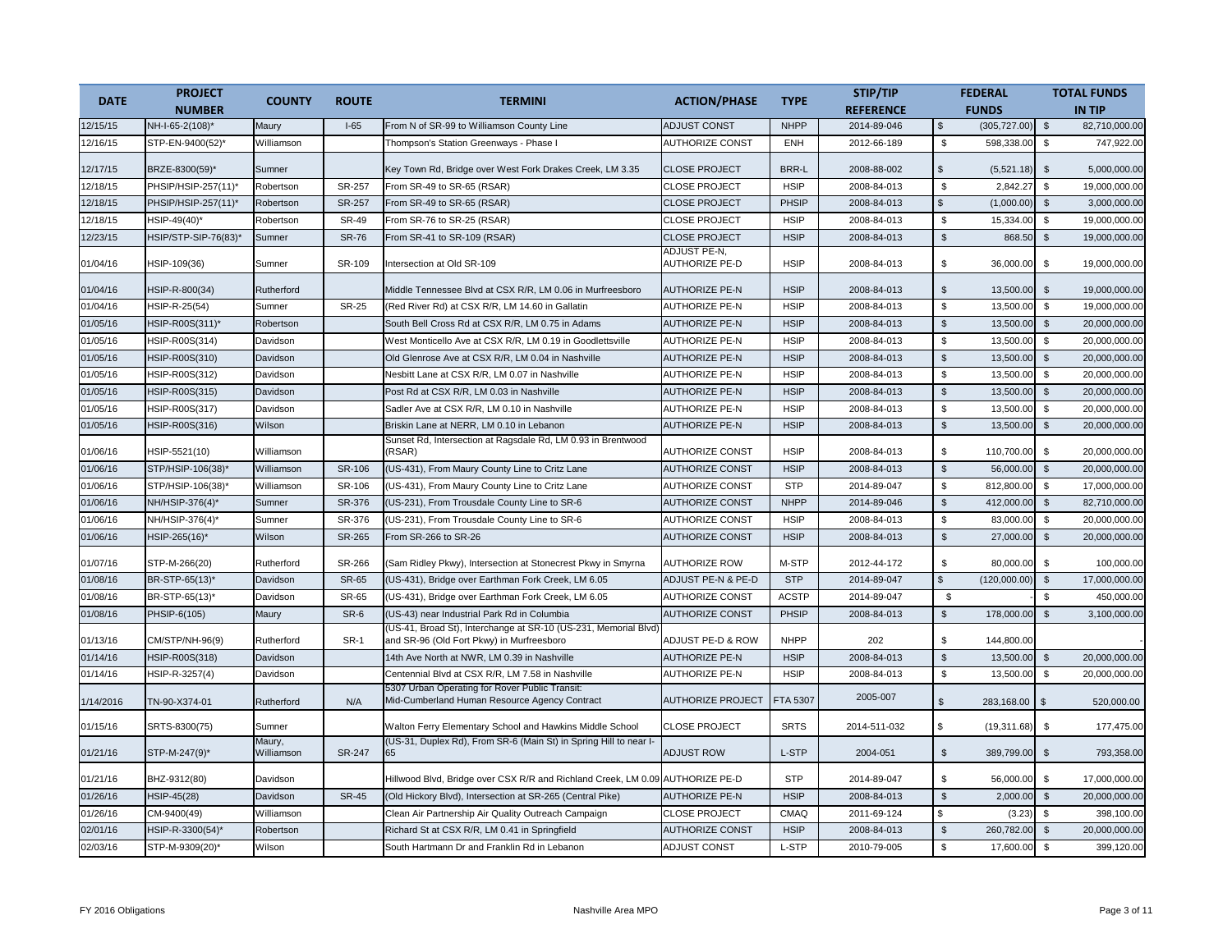| <b>DATE</b> | <b>PROJECT</b>      | <b>COUNTY</b>        | <b>ROUTE</b>  | <b>TERMINI</b>                                                                                              | <b>ACTION/PHASE</b>                   | <b>TYPE</b>  | STIP/TIP         |                | <b>FEDERAL</b> |                | <b>TOTAL FUNDS</b> |
|-------------|---------------------|----------------------|---------------|-------------------------------------------------------------------------------------------------------------|---------------------------------------|--------------|------------------|----------------|----------------|----------------|--------------------|
|             | <b>NUMBER</b>       |                      |               |                                                                                                             |                                       |              | <b>REFERENCE</b> |                | <b>FUNDS</b>   |                | <b>IN TIP</b>      |
| 12/15/15    | NH-I-65-2(108)*     | Maury                | $I-65$        | From N of SR-99 to Williamson County Line                                                                   | <b>ADJUST CONST</b>                   | <b>NHPP</b>  | 2014-89-046      | \$             | (305, 727.00)  | $\sqrt[6]{3}$  | 82,710,000.00      |
| 12/16/15    | STP-EN-9400(52)*    | Williamson           |               | Thompson's Station Greenways - Phase I                                                                      | <b>AUTHORIZE CONST</b>                | <b>ENH</b>   | 2012-66-189      | \$             | 598,338.00     | $$\mathbb{S}$$ | 747,922.00         |
| 12/17/15    | BRZE-8300(59)*      | Sumner               |               | Key Town Rd, Bridge over West Fork Drakes Creek, LM 3.35                                                    | <b>CLOSE PROJECT</b>                  | BRR-L        | 2008-88-002      | $\mathbb{S}$   | (5,521.18)     | $\mathfrak{S}$ | 5,000,000.00       |
| 12/18/15    | PHSIP/HSIP-257(11)* | Robertson            | SR-257        | From SR-49 to SR-65 (RSAR)                                                                                  | <b>CLOSE PROJECT</b>                  | <b>HSIP</b>  | 2008-84-013      | \$             | 2,842.27       | \$             | 19,000,000.00      |
| 12/18/15    | PHSIP/HSIP-257(11)* | Robertson            | SR-257        | From SR-49 to SR-65 (RSAR)                                                                                  | <b>CLOSE PROJECT</b>                  | PHSIP        | 2008-84-013      | $\mathfrak{L}$ | (1,000.00)     | \$             | 3,000,000.00       |
| 12/18/15    | HSIP-49(40)*        | Robertson            | <b>SR-49</b>  | From SR-76 to SR-25 (RSAR)                                                                                  | <b>CLOSE PROJECT</b>                  | <b>HSIP</b>  | 2008-84-013      | \$             | 15,334.00      | \$             | 19,000,000.00      |
| 12/23/15    | HSIP/STP-SIP-76(83) | Sumner               | <b>SR-76</b>  | From SR-41 to SR-109 (RSAR)                                                                                 | <b>CLOSE PROJECT</b>                  | <b>HSIP</b>  | 2008-84-013      | $$\mathbb{S}$$ | 868.50         | $\mathfrak s$  | 19,000,000.00      |
| 01/04/16    | HSIP-109(36)        | Sumner               | SR-109        | ntersection at Old SR-109                                                                                   | ADJUST PE-N,<br><b>AUTHORIZE PE-D</b> | <b>HSIP</b>  | 2008-84-013      | \$             | 36,000.00      | \$             | 19,000,000.00      |
| 01/04/16    | HSIP-R-800(34)      | Rutherford           |               | Middle Tennessee Blvd at CSX R/R, LM 0.06 in Murfreesboro                                                   | <b>AUTHORIZE PE-N</b>                 | <b>HSIP</b>  | 2008-84-013      | \$             | 13,500.00      | \$             | 19,000,000.00      |
| 01/04/16    | HSIP-R-25(54)       | Sumner               | <b>SR-25</b>  | (Red River Rd) at CSX R/R, LM 14.60 in Gallatin                                                             | <b>AUTHORIZE PE-N</b>                 | <b>HSIP</b>  | 2008-84-013      | $\mathfrak s$  | 13,500.00      | $\mathbb{S}$   | 19,000,000.00      |
| 01/05/16    | HSIP-R00S(311)*     | Robertson            |               | South Bell Cross Rd at CSX R/R, LM 0.75 in Adams                                                            | <b>AUTHORIZE PE-N</b>                 | <b>HSIP</b>  | 2008-84-013      | $\mathfrak s$  | 13,500.00      | \$             | 20,000,000.00      |
| 01/05/16    | HSIP-R00S(314)      | Davidson             |               | West Monticello Ave at CSX R/R, LM 0.19 in Goodlettsville                                                   | <b>AUTHORIZE PE-N</b>                 | <b>HSIP</b>  | 2008-84-013      | $$\mathbb{S}$$ | 13,500.00      | \$             | 20,000,000.00      |
| 01/05/16    | HSIP-R00S(310)      | Davidson             |               | Old Glenrose Ave at CSX R/R, LM 0.04 in Nashville                                                           | <b>AUTHORIZE PE-N</b>                 | <b>HSIP</b>  | 2008-84-013      | $\mathbb{S}$   | 13,500.00      | $\sqrt[6]{2}$  | 20,000,000.00      |
| 01/05/16    | HSIP-R00S(312)      | Davidson             |               | Nesbitt Lane at CSX R/R, LM 0.07 in Nashville                                                               | <b>AUTHORIZE PE-N</b>                 | <b>HSIP</b>  | 2008-84-013      | \$             | 13,500.00      | $\mathfrak s$  | 20,000,000.00      |
| 01/05/16    | HSIP-R00S(315)      | Davidson             |               | Post Rd at CSX R/R, LM 0.03 in Nashville                                                                    | <b>AUTHORIZE PE-N</b>                 | <b>HSIP</b>  | 2008-84-013      | $\mathfrak{s}$ | 13,500.00      | $\mathfrak{S}$ | 20,000,000.00      |
| 01/05/16    | HSIP-R00S(317)      | Davidson             |               | Sadler Ave at CSX R/R, LM 0.10 in Nashville                                                                 | <b>AUTHORIZE PE-N</b>                 | <b>HSIP</b>  | 2008-84-013      | \$             | 13,500.00      | \$             | 20,000,000.00      |
| 01/05/16    | HSIP-R00S(316)      | Wilson               |               | Briskin Lane at NERR, LM 0.10 in Lebanon                                                                    | <b>AUTHORIZE PE-N</b>                 | <b>HSIP</b>  | 2008-84-013      | $\mathfrak s$  | 13,500.00      | \$             | 20,000,000.00      |
| 01/06/16    | HSIP-5521(10)       | Williamson           |               | Sunset Rd, Intersection at Ragsdale Rd, LM 0.93 in Brentwood<br>(RSAR)                                      | <b>AUTHORIZE CONST</b>                | <b>HSIP</b>  | 2008-84-013      | \$             | 110,700.00     | $\mathfrak s$  | 20,000,000.00      |
| 01/06/16    | STP/HSIP-106(38)*   | Williamson           | SR-106        | (US-431), From Maury County Line to Critz Lane                                                              | <b>AUTHORIZE CONST</b>                | <b>HSIP</b>  | 2008-84-013      | $\mathbb{S}$   | 56,000.00      | $\mathfrak{S}$ | 20,000,000.00      |
| 01/06/16    | STP/HSIP-106(38)*   | Williamson           | SR-106        | US-431), From Maury County Line to Critz Lane                                                               | <b>AUTHORIZE CONST</b>                | <b>STP</b>   | 2014-89-047      | $\mathbb{S}$   | 812,800.00     | $$\mathbb{S}$$ | 17,000,000.00      |
| 01/06/16    | NH/HSIP-376(4)*     | Sumner               | SR-376        | US-231), From Trousdale County Line to SR-6                                                                 | <b>AUTHORIZE CONST</b>                | <b>NHPP</b>  | 2014-89-046      | $\mathfrak s$  | 412,000.00     | $\sqrt[6]{3}$  | 82,710,000.00      |
| 01/06/16    | NH/HSIP-376(4)*     | Sumner               | SR-376        | US-231), From Trousdale County Line to SR-6                                                                 | <b>AUTHORIZE CONST</b>                | <b>HSIP</b>  | 2008-84-013      | \$             | 83,000.00      | \$             | 20,000,000.00      |
| 01/06/16    | HSIP-265(16)*       | Wilson               | <b>SR-265</b> | From SR-266 to SR-26                                                                                        | <b>AUTHORIZE CONST</b>                | <b>HSIP</b>  | 2008-84-013      | $\mathfrak{S}$ | 27,000.00      | $\mathfrak s$  | 20,000,000.00      |
| 01/07/16    | STP-M-266(20)       | Rutherford           | SR-266        | Sam Ridley Pkwy), Intersection at Stonecrest Pkwy in Smyrna                                                 | <b>AUTHORIZE ROW</b>                  | M-STP        | 2012-44-172      | \$             | 80,000.00      | \$             | 100,000.00         |
| 01/08/16    | BR-STP-65(13)*      | Davidson             | <b>SR-65</b>  | (US-431), Bridge over Earthman Fork Creek, LM 6.05                                                          | ADJUST PE-N & PE-D                    | <b>STP</b>   | 2014-89-047      | $\mathfrak{L}$ | (120,000.00)   | $\mathfrak s$  | 17,000,000.00      |
| 01/08/16    | BR-STP-65(13)*      | Davidson             | SR-65         | (US-431), Bridge over Earthman Fork Creek, LM 6.05                                                          | <b>AUTHORIZE CONST</b>                | <b>ACSTP</b> | 2014-89-047      | $\mathfrak s$  |                | \$             | 450,000.00         |
| 01/08/16    | PHSIP-6(105)        | Maury                | SR-6          | (US-43) near Industrial Park Rd in Columbia                                                                 | <b>AUTHORIZE CONST</b>                | PHSIP        | 2008-84-013      | $\mathbb{S}$   | 178,000.00     | $\mathfrak{s}$ | 3,100,000.00       |
| 01/13/16    | CM/STP/NH-96(9)     | Rutherford           | SR-1          | US-41, Broad St), Interchange at SR-10 (US-231, Memorial Blvd)<br>and SR-96 (Old Fort Pkwy) in Murfreesboro | ADJUST PE-D & ROW                     | <b>NHPP</b>  | 202              | \$             | 144,800.00     |                |                    |
| 01/14/16    | HSIP-R00S(318)      | Davidson             |               | 14th Ave North at NWR, LM 0.39 in Nashville                                                                 | <b>AUTHORIZE PE-N</b>                 | <b>HSIP</b>  | 2008-84-013      | $\mathfrak{s}$ | 13,500.00      | $\mathfrak{S}$ | 20,000,000.00      |
| 01/14/16    | HSIP-R-3257(4)      | Davidson             |               | Centennial Blvd at CSX R/R, LM 7.58 in Nashville                                                            | <b>AUTHORIZE PE-N</b>                 | <b>HSIP</b>  | 2008-84-013      | \$             | 13,500.00      | \$             | 20,000,000.00      |
| 1/14/2016   | TN-90-X374-01       | Rutherford           | N/A           | 5307 Urban Operating for Rover Public Transit:<br>Mid-Cumberland Human Resource Agency Contract             | <b>AUTHORIZE PROJECT</b>              | FTA 5307     | 2005-007         | $\mathfrak{L}$ | 283,168.00     | $\mathfrak{s}$ | 520,000.00         |
| 01/15/16    | SRTS-8300(75)       | Sumner               |               | Walton Ferry Elementary School and Hawkins Middle School                                                    | <b>CLOSE PROJECT</b>                  | <b>SRTS</b>  | 2014-511-032     | \$             | (19, 311.68)   | \$             | 177,475.00         |
| 01/21/16    | STP-M-247(9)*       | Maury,<br>Williamson | <b>SR-247</b> | (US-31, Duplex Rd), From SR-6 (Main St) in Spring Hill to near I-<br>65                                     | <b>ADJUST ROW</b>                     | L-STP        | 2004-051         | \$             | 389,799.00     | \$             | 793,358.00         |
| 01/21/16    | BHZ-9312(80)        | Davidson             |               | Hillwood Blvd, Bridge over CSX R/R and Richland Creek, LM 0.09 AUTHORIZE PE-D                               |                                       | <b>STP</b>   | 2014-89-047      | \$             | 56,000.00      | \$             | 17,000,000.00      |
| 01/26/16    | HSIP-45(28)         | Davidson             | <b>SR-45</b>  | (Old Hickory Blvd), Intersection at SR-265 (Central Pike)                                                   | <b>AUTHORIZE PE-N</b>                 | <b>HSIP</b>  | 2008-84-013      | $\mathfrak{s}$ | 2,000.00       | \$             | 20,000,000.00      |
| 01/26/16    | CM-9400(49)         | Williamson           |               | Clean Air Partnership Air Quality Outreach Campaign                                                         | <b>CLOSE PROJECT</b>                  | CMAQ         | 2011-69-124      | \$             | (3.23)         | $$\mathbb{S}$$ | 398,100.00         |
| 02/01/16    | HSIP-R-3300(54)*    | Robertson            |               | Richard St at CSX R/R, LM 0.41 in Springfield                                                               | <b>AUTHORIZE CONST</b>                | <b>HSIP</b>  | 2008-84-013      | $\mathfrak{S}$ | 260,782.00     | \$             | 20,000,000.00      |
| 02/03/16    | STP-M-9309(20)*     | Wilson               |               | South Hartmann Dr and Franklin Rd in Lebanon                                                                | <b>ADJUST CONST</b>                   | L-STP        | 2010-79-005      | \$             | 17,600.00      | $\mathbb S$    | 399,120.00         |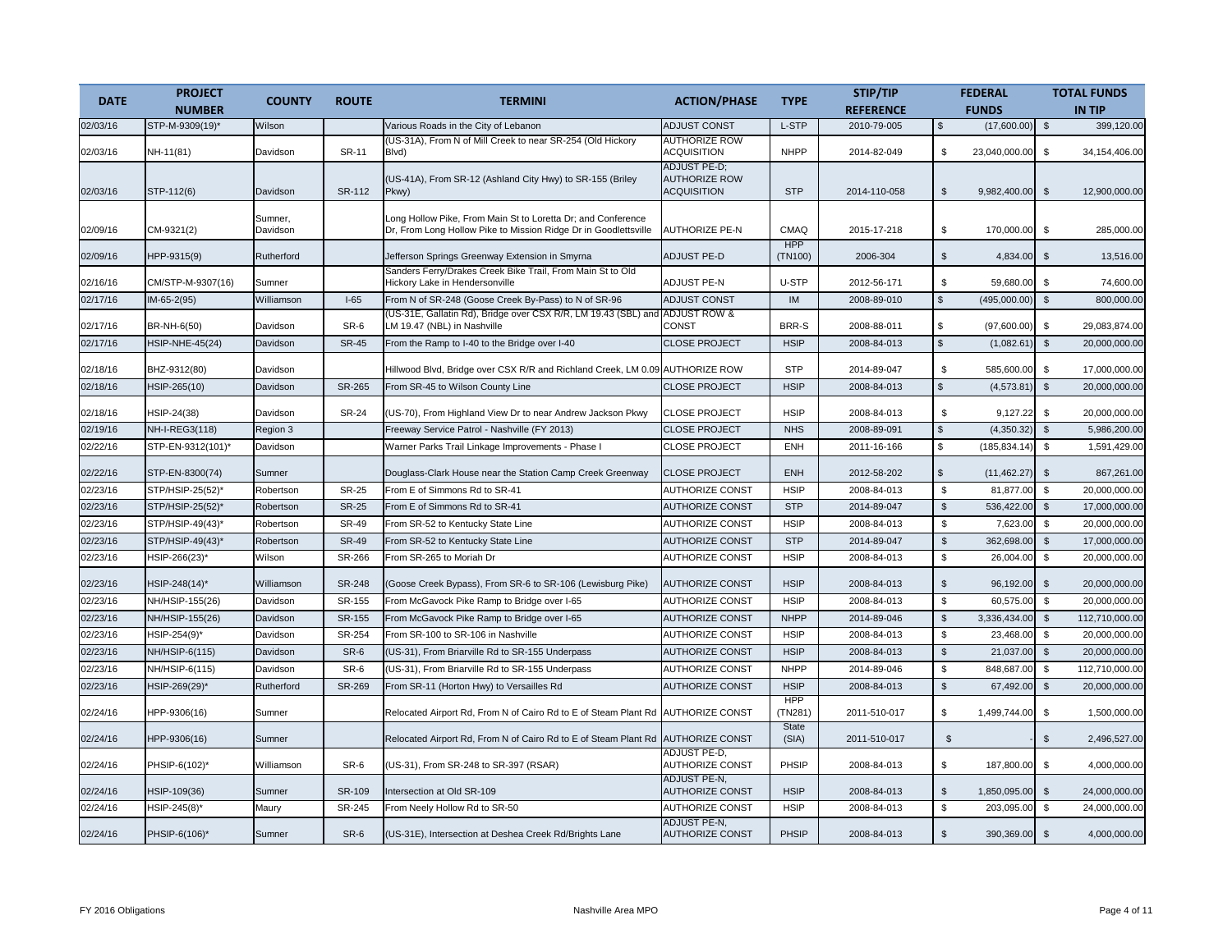| <b>DATE</b> | <b>PROJECT</b><br><b>NUMBER</b> | <b>COUNTY</b>       | <b>ROUTE</b>  | <b>TERMINI</b>                                                                                                                  | <b>ACTION/PHASE</b>                                               | <b>TYPE</b>           | STIP/TIP<br><b>REFERENCE</b> |                | <b>FEDERAL</b><br><b>FUNDS</b> |                | <b>TOTAL FUNDS</b><br><b>IN TIP</b> |
|-------------|---------------------------------|---------------------|---------------|---------------------------------------------------------------------------------------------------------------------------------|-------------------------------------------------------------------|-----------------------|------------------------------|----------------|--------------------------------|----------------|-------------------------------------|
| 02/03/16    | STP-M-9309(19)*                 | Wilson              |               | Various Roads in the City of Lebanon                                                                                            | <b>ADJUST CONST</b>                                               | L-STP                 | 2010-79-005                  | $\mathfrak s$  | (17,600.00)                    | $\mathfrak{s}$ | 399,120.00                          |
|             |                                 |                     |               | (US-31A), From N of Mill Creek to near SR-254 (Old Hickory                                                                      | <b>AUTHORIZE ROW</b>                                              |                       |                              |                |                                |                |                                     |
| 02/03/16    | NH-11(81)                       | Davidson            | <b>SR-11</b>  | Blvd)                                                                                                                           | <b>ACQUISITION</b>                                                | <b>NHPP</b>           | 2014-82-049                  | \$             | 23,040,000.00                  | \$             | 34, 154, 406.00                     |
| 02/03/16    | STP-112(6)                      | Davidson            | SR-112        | (US-41A), From SR-12 (Ashland City Hwy) to SR-155 (Briley<br>Pkwy)                                                              | <b>ADJUST PE-D:</b><br><b>AUTHORIZE ROW</b><br><b>ACQUISITION</b> | <b>STP</b>            | 2014-110-058                 | $\mathfrak s$  | 9,982,400.00                   | $\mathfrak{S}$ | 12,900,000.00                       |
|             |                                 |                     |               |                                                                                                                                 |                                                                   |                       |                              |                |                                |                |                                     |
| 02/09/16    | CM-9321(2)                      | Sumner,<br>Davidson |               | Long Hollow Pike, From Main St to Loretta Dr; and Conference<br>Dr, From Long Hollow Pike to Mission Ridge Dr in Goodlettsville | <b>AUTHORIZE PE-N</b>                                             | CMAQ<br><b>HPP</b>    | 2015-17-218                  | \$             | 170,000.00                     | \$             | 285,000.00                          |
| 02/09/16    | HPP-9315(9)                     | Rutherford          |               | Jefferson Springs Greenway Extension in Smyrna                                                                                  | <b>ADJUST PE-D</b>                                                | (TN100)               | 2006-304                     | \$             | 4,834.00                       | $\sqrt[6]{2}$  | 13,516.00                           |
| 02/16/16    | CM/STP-M-9307(16)               | Sumner              |               | Sanders Ferry/Drakes Creek Bike Trail, From Main St to Old<br>Hickory Lake in Hendersonville                                    | <b>ADJUST PE-N</b>                                                | U-STP                 | 2012-56-171                  | \$             | 59,680.00                      | \$             | 74,600.00                           |
| 02/17/16    | $IM-65-2(95)$                   | Williamson          | $I-65$        | From N of SR-248 (Goose Creek By-Pass) to N of SR-96                                                                            | <b>ADJUST CONST</b>                                               | <b>IM</b>             | 2008-89-010                  | $$\mathbb{S}$$ | (495,000.00)                   | $$\mathbb{S}$$ | 800,000.00                          |
|             |                                 |                     |               | (US-31E, Gallatin Rd), Bridge over CSX R/R, LM 19.43 (SBL) and ADJUST ROW &                                                     |                                                                   |                       |                              |                |                                |                |                                     |
| 02/17/16    | BR-NH-6(50)                     | Davidson            | SR-6          | LM 19.47 (NBL) in Nashville                                                                                                     | CONST                                                             | BRR-S                 | 2008-88-011                  | \$             | (97,600.00)                    | \$             | 29,083,874.00                       |
| 02/17/16    | <b>HSIP-NHE-45(24)</b>          | Davidson            | <b>SR-45</b>  | From the Ramp to I-40 to the Bridge over I-40                                                                                   | <b>CLOSE PROJECT</b>                                              | <b>HSIP</b>           | 2008-84-013                  | $$\mathbb{S}$$ | (1,082.61)                     | $\mathfrak{S}$ | 20,000,000.00                       |
| 02/18/16    | BHZ-9312(80)                    | Davidson            |               | Hillwood Blvd, Bridge over CSX R/R and Richland Creek, LM 0.09 AUTHORIZE ROW                                                    |                                                                   | <b>STP</b>            | 2014-89-047                  | \$             | 585,600.00                     | \$             | 17,000,000.00                       |
| 02/18/16    | HSIP-265(10)                    | Davidson            | SR-265        | From SR-45 to Wilson County Line                                                                                                | <b>CLOSE PROJECT</b>                                              | <b>HSIP</b>           | 2008-84-013                  | $$\mathbb{S}$$ | (4,573.81)                     | $\mathfrak s$  | 20,000,000.00                       |
| 02/18/16    | HSIP-24(38)                     | Davidson            | <b>SR-24</b>  | (US-70), From Highland View Dr to near Andrew Jackson Pkwy                                                                      | <b>CLOSE PROJECT</b>                                              | <b>HSIP</b>           | 2008-84-013                  | \$             | 9,127.22                       | $\mathbb{S}$   | 20,000,000.00                       |
| 02/19/16    | NH-I-REG3(118)                  | Region 3            |               | Freeway Service Patrol - Nashville (FY 2013)                                                                                    | <b>CLOSE PROJECT</b>                                              | <b>NHS</b>            | 2008-89-091                  | $\,$           | (4,350.32)                     | $\sqrt[6]{3}$  | 5,986,200.00                        |
| 02/22/16    | STP-EN-9312(101)*               | Davidson            |               | Warner Parks Trail Linkage Improvements - Phase I                                                                               | <b>CLOSE PROJECT</b>                                              | <b>ENH</b>            | 2011-16-166                  | $\mathfrak{L}$ | (185, 834.14)                  | $\mathbb{S}$   | 1,591,429.00                        |
| 02/22/16    | STP-EN-8300(74)                 | Sumner              |               | Douglass-Clark House near the Station Camp Creek Greenway                                                                       | <b>CLOSE PROJECT</b>                                              | <b>ENH</b>            | 2012-58-202                  | \$             | (11, 462.27)                   | $\mathfrak{S}$ | 867,261.00                          |
| 02/23/16    | STP/HSIP-25(52)*                | Robertson           | <b>SR-25</b>  | From E of Simmons Rd to SR-41                                                                                                   | AUTHORIZE CONST                                                   | <b>HSIP</b>           | 2008-84-013                  | \$             | 81,877.00                      | $\mathfrak s$  | 20,000,000.00                       |
| 02/23/16    | STP/HSIP-25(52)*                | Robertson           | <b>SR-25</b>  | From E of Simmons Rd to SR-41                                                                                                   | <b>AUTHORIZE CONST</b>                                            | <b>STP</b>            | 2014-89-047                  | $\mathfrak s$  | 536,422.00                     | $\mathfrak{S}$ | 17,000,000.00                       |
| 02/23/16    | STP/HSIP-49(43)*                | Robertson           | <b>SR-49</b>  | From SR-52 to Kentucky State Line                                                                                               | <b>AUTHORIZE CONST</b>                                            | <b>HSIP</b>           | 2008-84-013                  | \$             | 7,623.00                       | $\mathbb{S}$   | 20,000,000.00                       |
| 02/23/16    | STP/HSIP-49(43)*                | Robertson           | <b>SR-49</b>  | From SR-52 to Kentucky State Line                                                                                               | <b>AUTHORIZE CONST</b>                                            | <b>STP</b>            | 2014-89-047                  | $$\mathbb{S}$$ | 362,698.00                     | $\sqrt[6]{3}$  | 17,000,000.00                       |
| 02/23/16    | HSIP-266(23)*                   | Wilson              | SR-266        | From SR-265 to Moriah Dr                                                                                                        | <b>AUTHORIZE CONST</b>                                            | <b>HSIP</b>           | 2008-84-013                  | \$             | 26,004.00                      | \$             | 20,000,000.00                       |
| 02/23/16    | HSIP-248(14)*                   | Williamson          | <b>SR-248</b> | (Goose Creek Bypass), From SR-6 to SR-106 (Lewisburg Pike)                                                                      | <b>AUTHORIZE CONST</b>                                            | <b>HSIP</b>           | 2008-84-013                  | $\mathbb{S}$   | 96,192.00                      | $\mathfrak{S}$ | 20,000,000.00                       |
| 02/23/16    | NH/HSIP-155(26)                 | Davidson            | SR-155        | From McGavock Pike Ramp to Bridge over I-65                                                                                     | <b>AUTHORIZE CONST</b>                                            | <b>HSIP</b>           | 2008-84-013                  | \$             | 60,575.00                      | $\mathfrak{s}$ | 20.000.000.00                       |
| 02/23/16    | NH/HSIP-155(26)                 | Davidson            | SR-155        | From McGavock Pike Ramp to Bridge over I-65                                                                                     | <b>AUTHORIZE CONST</b>                                            | <b>NHPP</b>           | 2014-89-046                  | $$\mathbb{S}$$ | 3,336,434.00                   | \$             | 112,710,000.00                      |
| 02/23/16    | HSIP-254(9)*                    | Davidson            | SR-254        | From SR-100 to SR-106 in Nashville                                                                                              | <b>AUTHORIZE CONST</b>                                            | <b>HSIP</b>           | 2008-84-013                  | \$             | 23,468.00                      | \$             | 20,000,000.00                       |
| 02/23/16    | NH/HSIP-6(115)                  | Davidson            | SR-6          | (US-31), From Briarville Rd to SR-155 Underpass                                                                                 | <b>AUTHORIZE CONST</b>                                            | <b>HSIP</b>           | 2008-84-013                  | $\mathfrak s$  | 21,037.00                      | $\mathfrak s$  | 20,000,000.00                       |
| 02/23/16    | NH/HSIP-6(115)                  | Davidson            | SR-6          | (US-31), From Briarville Rd to SR-155 Underpass                                                                                 | <b>AUTHORIZE CONST</b>                                            | <b>NHPP</b>           | 2014-89-046                  | $$\mathbb{S}$$ | 848,687.00                     | \$             | 112,710,000.00                      |
| 02/23/16    | HSIP-269(29)*                   | Rutherford          | SR-269        | From SR-11 (Horton Hwy) to Versailles Rd                                                                                        | <b>AUTHORIZE CONST</b>                                            | <b>HSIP</b>           | 2008-84-013                  | $$\mathbb{S}$$ | 67,492.00                      | $\mathbb{S}$   | 20,000,000.00                       |
| 02/24/16    | HPP-9306(16)                    | Sumner              |               | Relocated Airport Rd, From N of Cairo Rd to E of Steam Plant Rd                                                                 | <b>AUTHORIZE CONST</b>                                            | <b>HPP</b><br>(TN281) | 2011-510-017                 | \$             | 1,499,744.00                   | \$             | 1,500,000.00                        |
| 02/24/16    | HPP-9306(16)                    | Sumner              |               | Relocated Airport Rd, From N of Cairo Rd to E of Steam Plant Rd                                                                 | <b>AUTHORIZE CONST</b>                                            | State<br>(SIA)        | 2011-510-017                 | $\mathfrak{S}$ |                                | \$             | 2,496,527.00                        |
| 02/24/16    | PHSIP-6(102)*                   | Williamson          | SR-6          | (US-31), From SR-248 to SR-397 (RSAR)                                                                                           | ADJUST PE-D,<br><b>AUTHORIZE CONST</b>                            | PHSIP                 | 2008-84-013                  | \$             | 187,800.00                     | \$             | 4,000,000.00                        |
| 02/24/16    | HSIP-109(36)                    | Sumner              | SR-109        | Intersection at Old SR-109                                                                                                      | <b>ADJUST PE-N,</b><br><b>AUTHORIZE CONST</b>                     | <b>HSIP</b>           | 2008-84-013                  | $\mathfrak s$  | 1,850,095.00                   | $\mathfrak{S}$ | 24,000,000.00                       |
| 02/24/16    | HSIP-245(8)*                    | Maury               | SR-245        | From Neely Hollow Rd to SR-50                                                                                                   | <b>AUTHORIZE CONST</b>                                            | <b>HSIP</b>           | 2008-84-013                  | \$             | 203,095.00                     | $$\mathbb{S}$$ | 24,000,000.00                       |
| 02/24/16    | PHSIP-6(106)*                   | Sumner              | SR-6          | (US-31E), Intersection at Deshea Creek Rd/Brights Lane                                                                          | <b>ADJUST PE-N,</b><br><b>AUTHORIZE CONST</b>                     | <b>PHSIP</b>          | 2008-84-013                  | $\mathfrak{S}$ | 390,369.00                     | $\mathfrak{S}$ | 4,000,000.00                        |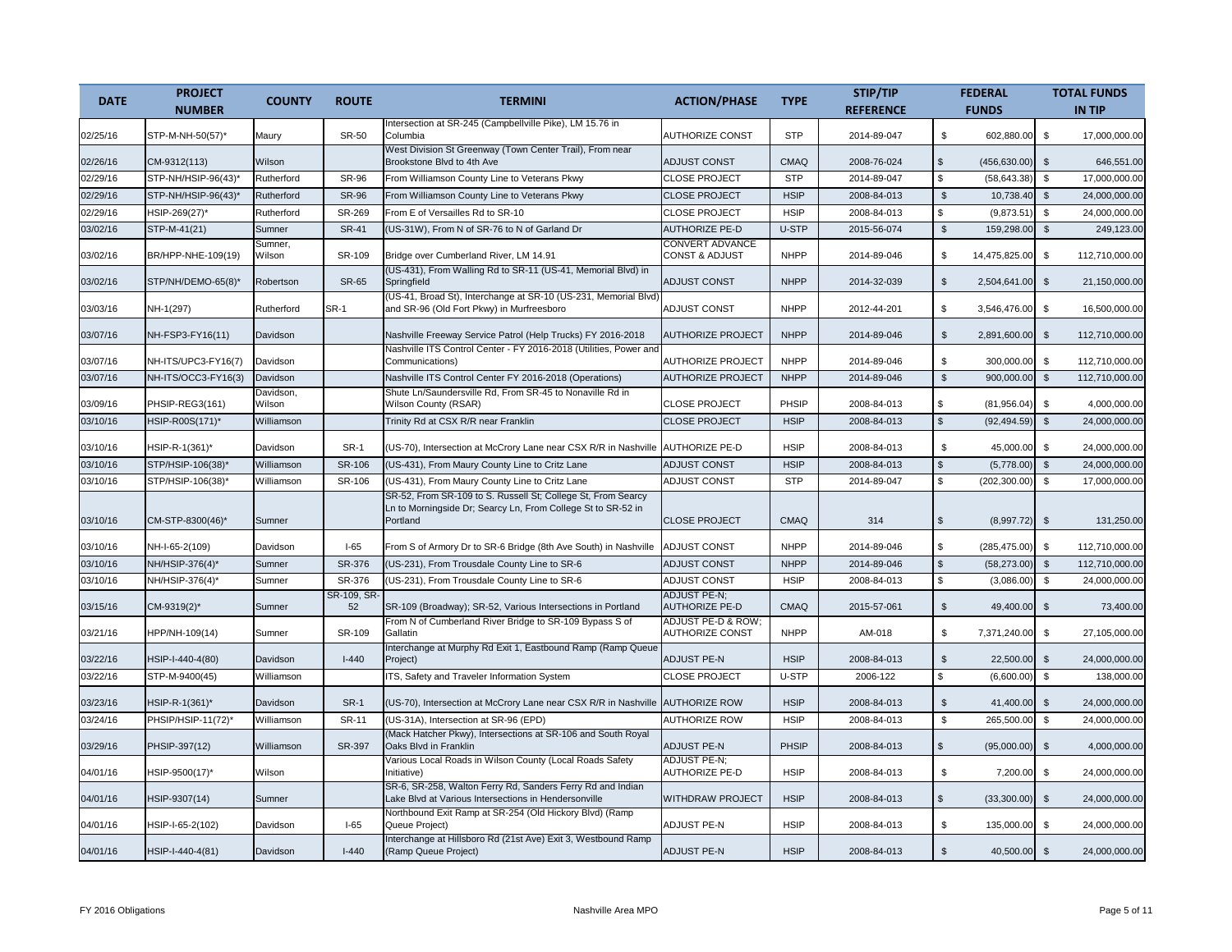| <b>DATE</b> | <b>PROJECT</b><br><b>NUMBER</b> | <b>COUNTY</b>       | <b>ROUTE</b>     | <b>TERMINI</b>                                                                                                                           | <b>ACTION/PHASE</b>                                 | <b>TYPE</b>  | STIP/TIP<br><b>REFERENCE</b> |                    | <b>FEDERAL</b><br><b>FUNDS</b> |                | <b>TOTAL FUNDS</b><br><b>IN TIP</b> |
|-------------|---------------------------------|---------------------|------------------|------------------------------------------------------------------------------------------------------------------------------------------|-----------------------------------------------------|--------------|------------------------------|--------------------|--------------------------------|----------------|-------------------------------------|
| 02/25/16    | STP-M-NH-50(57)*                | Maury               | SR-50            | Intersection at SR-245 (Campbellville Pike), LM 15.76 in<br>Columbia                                                                     | <b>AUTHORIZE CONST</b>                              | <b>STP</b>   | 2014-89-047                  | \$                 | 602,880.00                     | \$             | 17,000,000.00                       |
| 02/26/16    | CM-9312(113)                    | Wilson              |                  | West Division St Greenway (Town Center Trail), From near<br>Brookstone Blvd to 4th Ave                                                   | <b>ADJUST CONST</b>                                 | <b>CMAQ</b>  | 2008-76-024                  | $$\mathbb{S}$$     | (456, 630.00)                  | $\mathfrak{s}$ | 646,551.00                          |
| 02/29/16    | STP-NH/HSIP-96(43)              | Rutherford          | <b>SR-96</b>     | From Williamson County Line to Veterans Pkwy                                                                                             | <b>CLOSE PROJECT</b>                                | <b>STP</b>   | 2014-89-047                  | $\mathbb S$        | (58, 643.38)                   | \$             | 17,000,000.00                       |
| 02/29/16    | STP-NH/HSIP-96(43)*             | Rutherford          | <b>SR-96</b>     | From Williamson County Line to Veterans Pkwy                                                                                             | <b>CLOSE PROJECT</b>                                | <b>HSIP</b>  | 2008-84-013                  | $\mathfrak s$      | 10,738.40                      | $\mathfrak{s}$ | 24,000,000.00                       |
| 02/29/16    | HSIP-269(27)*                   | Rutherford          | SR-269           | From E of Versailles Rd to SR-10                                                                                                         | <b>CLOSE PROJECT</b>                                | <b>HSIP</b>  | 2008-84-013                  | \$                 | (9,873.51)                     | \$             | 24,000,000.00                       |
| 03/02/16    | STP-M-41(21)                    | Sumner              | <b>SR-41</b>     | (US-31W), From N of SR-76 to N of Garland Dr                                                                                             | <b>AUTHORIZE PE-D</b>                               | U-STP        | 2015-56-074                  | $\mathbb{S}$       | 159,298.00                     | $\mathfrak{s}$ | 249,123.00                          |
| 03/02/16    | BR/HPP-NHE-109(19)              | Sumner,<br>Wilson   | SR-109           | Bridge over Cumberland River, LM 14.91                                                                                                   | <b>CONVERT ADVANCE</b><br><b>CONST &amp; ADJUST</b> | <b>NHPP</b>  | 2014-89-046                  | \$                 | 14,475,825.00                  | $\mathfrak{L}$ | 112,710,000.00                      |
| 03/02/16    | STP/NH/DEMO-65(8)*              | Robertson           | <b>SR-65</b>     | (US-431), From Walling Rd to SR-11 (US-41, Memorial Blvd) in<br>Springfield                                                              | <b>ADJUST CONST</b>                                 | <b>NHPP</b>  | 2014-32-039                  | \$                 | 2,504,641.00                   | \$             | 21,150,000.00                       |
| 03/03/16    | NH-1(297)                       | Rutherford          | <b>SR-1</b>      | (US-41, Broad St), Interchange at SR-10 (US-231, Memorial Blvd)<br>and SR-96 (Old Fort Pkwy) in Murfreesboro                             | <b>ADJUST CONST</b>                                 | <b>NHPP</b>  | 2012-44-201                  | \$                 | 3,546,476.00                   | \$             | 16,500,000.00                       |
| 03/07/16    | NH-FSP3-FY16(11)                | Davidson            |                  | Nashville Freeway Service Patrol (Help Trucks) FY 2016-2018                                                                              | <b>AUTHORIZE PROJECT</b>                            | <b>NHPP</b>  | 2014-89-046                  | $\mathfrak{L}$     | 2,891,600.00                   | $\mathfrak{L}$ | 112,710,000.00                      |
| 03/07/16    | NH-ITS/UPC3-FY16(7)             | Davidson            |                  | Nashville ITS Control Center - FY 2016-2018 (Utilities, Power and<br>Communications)                                                     | <b>AUTHORIZE PROJECT</b>                            | <b>NHPP</b>  | 2014-89-046                  | \$                 | 300,000.00                     | \$             | 112,710,000.00                      |
| 03/07/16    | NH-ITS/OCC3-FY16(3)             | Davidson            |                  | Nashville ITS Control Center FY 2016-2018 (Operations)                                                                                   | <b>AUTHORIZE PROJECT</b>                            | <b>NHPP</b>  | 2014-89-046                  | $$\mathbb{S}$$     | 900,000.00                     | \$             | 112,710,000.00                      |
| 03/09/16    | PHSIP-REG3(161)                 | Davidson,<br>Wilson |                  | Shute Ln/Saundersville Rd, From SR-45 to Nonaville Rd in<br>Wilson County (RSAR)                                                         | <b>CLOSE PROJECT</b>                                | PHSIP        | 2008-84-013                  | \$                 | (81,956.04)                    | $\mathfrak{L}$ | 4,000,000.00                        |
| 03/10/16    | HSIP-R00S(171)*                 | Williamson          |                  | Trinity Rd at CSX R/R near Franklin                                                                                                      | <b>CLOSE PROJECT</b>                                | <b>HSIP</b>  | 2008-84-013                  | $\mathbf{\hat{s}}$ | (92, 494.59)                   | $\mathfrak{s}$ | 24,000,000.00                       |
| 03/10/16    | HSIP-R-1(361)*                  | Davidson            | SR-1             | (US-70), Intersection at McCrory Lane near CSX R/R in Nashville AUTHORIZE PE-D                                                           |                                                     | <b>HSIP</b>  | 2008-84-013                  | \$                 | 45,000.00                      | \$             | 24,000,000.00                       |
| 03/10/16    | STP/HSIP-106(38)*               | Williamson          | SR-106           | (US-431), From Maury County Line to Critz Lane                                                                                           | <b>ADJUST CONST</b>                                 | <b>HSIP</b>  | 2008-84-013                  | $\mathfrak{L}$     | (5,778.00)                     | $\mathfrak{s}$ | 24,000,000.00                       |
| 03/10/16    | STP/HSIP-106(38)*               | Williamson          | SR-106           | (US-431), From Maury County Line to Critz Lane                                                                                           | <b>ADJUST CONST</b>                                 | <b>STP</b>   | 2014-89-047                  | \$                 | (202, 300.00)                  | \$             | 17,000,000.00                       |
| 03/10/16    | CM-STP-8300(46)*                | Sumner              |                  | SR-52, From SR-109 to S. Russell St; College St, From Searcy<br>Ln to Morningside Dr; Searcy Ln, From College St to SR-52 in<br>Portland | <b>CLOSE PROJECT</b>                                | <b>CMAQ</b>  | 314                          | $$\mathbb{S}$$     | (8,997.72)                     | $\mathfrak{S}$ | 131,250.00                          |
| 03/10/16    | NH-I-65-2(109)                  | Davidson            | $I-65$           | From S of Armory Dr to SR-6 Bridge (8th Ave South) in Nashville                                                                          | <b>ADJUST CONST</b>                                 | <b>NHPP</b>  | 2014-89-046                  | \$                 | (285, 475.00)                  | \$             | 112,710,000.00                      |
| 03/10/16    | NH/HSIP-376(4)*                 | Sumner              | SR-376           | (US-231), From Trousdale County Line to SR-6                                                                                             | <b>ADJUST CONST</b>                                 | <b>NHPP</b>  | 2014-89-046                  | $\mathfrak{L}$     | (58, 273.00)                   | \$             | 112,710,000.00                      |
| 03/10/16    | NH/HSIP-376(4)*                 | Sumner              | SR-376           | (US-231), From Trousdale County Line to SR-6                                                                                             | <b>ADJUST CONST</b>                                 | <b>HSIP</b>  | 2008-84-013                  | \$                 | (3,086.00)                     | \$             | 24,000,000.00                       |
| 03/15/16    | CM-9319(2)*                     | Sumner              | SR-109, SR<br>52 | SR-109 (Broadway); SR-52, Various Intersections in Portland                                                                              | <b>ADJUST PE-N;</b><br><b>AUTHORIZE PE-D</b>        | <b>CMAQ</b>  | 2015-57-061                  | $\mathbb{S}$       | 49,400.00                      | $\mathfrak{S}$ | 73,400.00                           |
| 03/21/16    | HPP/NH-109(14)                  | Sumner              | SR-109           | From N of Cumberland River Bridge to SR-109 Bypass S of<br>Gallatin                                                                      | ADJUST PE-D & ROW:<br><b>AUTHORIZE CONST</b>        | <b>NHPP</b>  | AM-018                       | \$                 | 7,371,240.00                   | \$             | 27,105,000.00                       |
| 03/22/16    | HSIP-I-440-4(80)                | <b>Davidson</b>     | $I - 440$        | Interchange at Murphy Rd Exit 1, Eastbound Ramp (Ramp Queue<br>Project)                                                                  | <b>ADJUST PE-N</b>                                  | <b>HSIP</b>  | 2008-84-013                  | $\mathbb{S}$       | 22,500.00                      | $\mathfrak{S}$ | 24,000,000.00                       |
| 03/22/16    | STP-M-9400(45)                  | Williamson          |                  | ITS, Safety and Traveler Information System                                                                                              | <b>CLOSE PROJECT</b>                                | U-STP        | 2006-122                     | \$                 | (6,600.00)                     | $\mathfrak s$  | 138,000.00                          |
| 03/23/16    | HSIP-R-1(361)*                  | <b>Davidson</b>     | <b>SR-1</b>      | (US-70), Intersection at McCrory Lane near CSX R/R in Nashville                                                                          | <b>AUTHORIZE ROW</b>                                | <b>HSIP</b>  | 2008-84-013                  | $\mathfrak{S}$     | 41,400.00                      | $\frac{3}{2}$  | 24,000,000.00                       |
| 03/24/16    | PHSIP/HSIP-11(72)*              | Williamson          | <b>SR-11</b>     | (US-31A), Intersection at SR-96 (EPD)                                                                                                    | <b>AUTHORIZE ROW</b>                                | <b>HSIP</b>  | 2008-84-013                  | \$                 | 265.500.00                     | \$             | 24.000.000.00                       |
| 03/29/16    | PHSIP-397(12)                   | Williamson          | SR-397           | (Mack Hatcher Pkwy), Intersections at SR-106 and South Royal<br>Oaks Blvd in Franklin                                                    | <b>ADJUST PE-N</b>                                  | <b>PHSIP</b> | 2008-84-013                  | $\mathfrak{L}$     | (95,000.00)                    | $\mathfrak{s}$ | 4,000,000.00                        |
| 04/01/16    | HSIP-9500(17)*                  | Wilson              |                  | Various Local Roads in Wilson County (Local Roads Safety<br>Initiative)                                                                  | ADJUST PE-N;<br><b>AUTHORIZE PE-D</b>               | <b>HSIP</b>  | 2008-84-013                  | \$                 | 7,200.00                       | \$             | 24,000,000.00                       |
| 04/01/16    | HSIP-9307(14)                   | Sumner              |                  | SR-6, SR-258, Walton Ferry Rd, Sanders Ferry Rd and Indian<br>Lake Blvd at Various Intersections in Hendersonville                       | <b>WITHDRAW PROJECT</b>                             | <b>HSIP</b>  | 2008-84-013                  | $\mathfrak{L}$     | (33,300.00)                    | $\mathfrak{s}$ | 24,000,000.00                       |
| 04/01/16    | HSIP-I-65-2(102)                | Davidson            | $I-65$           | Northbound Exit Ramp at SR-254 (Old Hickory Blvd) (Ramp<br>Queue Project)                                                                | <b>ADJUST PE-N</b>                                  | <b>HSIP</b>  | 2008-84-013                  | \$                 | 135,000.00                     | \$             | 24,000,000.00                       |
| 04/01/16    | HSIP-I-440-4(81)                | <b>Davidson</b>     | $I - 440$        | Interchange at Hillsboro Rd (21st Ave) Exit 3, Westbound Ramp<br>(Ramp Queue Project)                                                    | <b>ADJUST PE-N</b>                                  | <b>HSIP</b>  | 2008-84-013                  | $\mathfrak{L}$     | 40,500.00                      | $\mathfrak{S}$ | 24,000,000.00                       |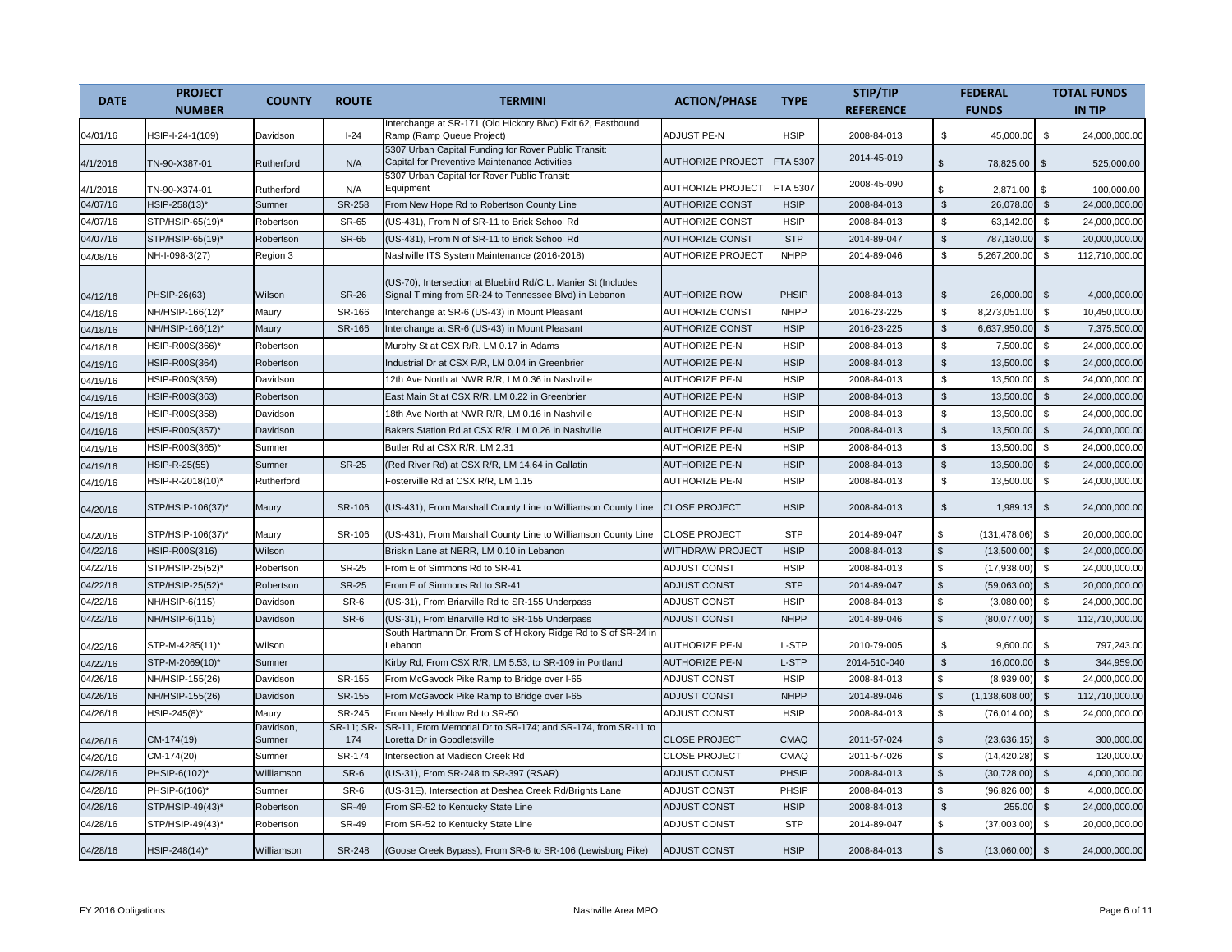|             | <b>PROJECT</b>    |                     |                   |                                                                                                                         |                          |             | STIP/TIP         |                           | <b>FEDERAL</b>   |                         | <b>TOTAL FUNDS</b> |
|-------------|-------------------|---------------------|-------------------|-------------------------------------------------------------------------------------------------------------------------|--------------------------|-------------|------------------|---------------------------|------------------|-------------------------|--------------------|
| <b>DATE</b> | <b>NUMBER</b>     | <b>COUNTY</b>       | <b>ROUTE</b>      | <b>TERMINI</b>                                                                                                          | <b>ACTION/PHASE</b>      | <b>TYPE</b> | <b>REFERENCE</b> |                           | <b>FUNDS</b>     |                         | <b>IN TIP</b>      |
| 04/01/16    | HSIP-I-24-1(109)  | Davidson            | $I-24$            | nterchange at SR-171 (Old Hickory Blvd) Exit 62, Eastbound<br>Ramp (Ramp Queue Project)                                 | <b>ADJUST PE-N</b>       | <b>HSIP</b> | 2008-84-013      | \$                        | 45,000.00        | \$                      | 24,000,000.00      |
| 4/1/2016    | TN-90-X387-01     | Rutherford          | N/A               | 5307 Urban Capital Funding for Rover Public Transit:<br>Capital for Preventive Maintenance Activities                   | <b>AUTHORIZE PROJECT</b> | FTA 5307    | 2014-45-019      | $\mathfrak{L}$            | 78.825.00 \$     |                         | 525.000.00         |
| 4/1/2016    | TN-90-X374-01     | Rutherford          | N/A               | 5307 Urban Capital for Rover Public Transit:<br>Equipment                                                               | <b>AUTHORIZE PROJECT</b> | FTA 5307    | 2008-45-090      | \$                        | 2,871.00         | - \$                    | 100,000.00         |
| 04/07/16    | HSIP-258(13)*     | Sumner              | <b>SR-258</b>     | From New Hope Rd to Robertson County Line                                                                               | <b>AUTHORIZE CONST</b>   | <b>HSIP</b> | 2008-84-013      | $\mathfrak s$             | 26,078.00        | $\mathfrak s$           | 24,000,000.00      |
| 04/07/16    | STP/HSIP-65(19)*  | Robertson           | SR-65             | (US-431), From N of SR-11 to Brick School Rd                                                                            | <b>AUTHORIZE CONST</b>   | <b>HSIP</b> | 2008-84-013      | \$                        | 63,142.00        | \$                      | 24,000,000.00      |
| 04/07/16    | STP/HSIP-65(19)*  | Robertson           | <b>SR-65</b>      | (US-431), From N of SR-11 to Brick School Rd                                                                            | <b>AUTHORIZE CONST</b>   | <b>STP</b>  | 2014-89-047      | $\frac{1}{2}$             | 787,130.00       | $\sqrt[6]{\frac{1}{2}}$ | 20,000,000.00      |
| 04/08/16    | NH-I-098-3(27)    | Region 3            |                   | Nashville ITS System Maintenance (2016-2018)                                                                            | <b>AUTHORIZE PROJECT</b> | <b>NHPP</b> | 2014-89-046      | \$                        | 5,267,200.00     | \$                      | 112,710,000.00     |
| 04/12/16    | PHSIP-26(63)      | Wilson              | <b>SR-26</b>      | (US-70), Intersection at Bluebird Rd/C.L. Manier St (Includes<br>Signal Timing from SR-24 to Tennessee Blvd) in Lebanon | <b>AUTHORIZE ROW</b>     | PHSIP       | 2008-84-013      | $\mathfrak s$             | 26,000.00        | $\mathfrak{S}$          | 4,000,000.00       |
| 04/18/16    | NH/HSIP-166(12)*  | Maury               | SR-166            | nterchange at SR-6 (US-43) in Mount Pleasant                                                                            | <b>AUTHORIZE CONST</b>   | <b>NHPP</b> | 2016-23-225      | \$                        | 8,273,051.00     | \$                      | 10,450,000.00      |
| 04/18/16    | NH/HSIP-166(12)*  | Maury               | SR-166            | nterchange at SR-6 (US-43) in Mount Pleasant                                                                            | <b>AUTHORIZE CONST</b>   | <b>HSIP</b> | 2016-23-225      | $\mathbb{S}$              | 6,637,950.00     | $\mathbb{S}$            | 7,375,500.00       |
| 04/18/16    | HSIP-R00S(366)*   | Robertson           |                   | Murphy St at CSX R/R, LM 0.17 in Adams                                                                                  | <b>AUTHORIZE PE-N</b>    | <b>HSIP</b> | 2008-84-013      | $\boldsymbol{\mathsf{S}}$ | 7,500.00         | \$                      | 24,000,000.00      |
| 04/19/16    | HSIP-R00S(364)    | Robertson           |                   | ndustrial Dr at CSX R/R, LM 0.04 in Greenbrier                                                                          | <b>AUTHORIZE PE-N</b>    | <b>HSIP</b> | 2008-84-013      | $\mathbb{S}$              | 13,500.00        | $\mathbf{s}$            | 24,000,000.00      |
| 04/19/16    | HSIP-R00S(359)    | Davidson            |                   | 12th Ave North at NWR R/R, LM 0.36 in Nashville                                                                         | <b>AUTHORIZE PE-N</b>    | <b>HSIP</b> | 2008-84-013      | $\mathbb S$               | 13,500.00        | \$                      | 24,000,000.00      |
| 04/19/16    | HSIP-R00S(363)    | Robertson           |                   | East Main St at CSX R/R, LM 0.22 in Greenbrier                                                                          | <b>AUTHORIZE PE-N</b>    | <b>HSIP</b> | 2008-84-013      | $\mathfrak s$             | 13,500.00        | $\mathbf{s}$            | 24,000,000.00      |
| 04/19/16    | HSIP-R00S(358)    | Davidson            |                   | 18th Ave North at NWR R/R, LM 0.16 in Nashville                                                                         | <b>AUTHORIZE PE-N</b>    | <b>HSIP</b> | 2008-84-013      | \$                        | 13,500.00        | $\mathbf{s}$            | 24,000,000.00      |
| 04/19/16    | HSIP-R00S(357)*   | Davidson            |                   | Bakers Station Rd at CSX R/R, LM 0.26 in Nashville                                                                      | <b>AUTHORIZE PE-N</b>    | <b>HSIP</b> | 2008-84-013      | $$\mathbb{S}$$            | 13.500.00        | $\mathbb{S}$            | 24,000,000.00      |
| 04/19/16    | HSIP-R00S(365)*   | Sumner              |                   | Butler Rd at CSX R/R, LM 2.31                                                                                           | <b>AUTHORIZE PE-N</b>    | <b>HSIP</b> | 2008-84-013      | \$                        | 13,500.00        | \$                      | 24,000,000.00      |
| 04/19/16    | HSIP-R-25(55)     | Sumner              | <b>SR-25</b>      | (Red River Rd) at CSX R/R, LM 14.64 in Gallatin                                                                         | <b>AUTHORIZE PE-N</b>    | <b>HSIP</b> | 2008-84-013      | $\mathbb{S}$              | 13,500.00        | $\mathbf{s}$            | 24,000,000.00      |
| 04/19/16    | HSIP-R-2018(10)*  | Rutherford          |                   | Fosterville Rd at CSX R/R, LM 1.15                                                                                      | <b>AUTHORIZE PE-N</b>    | <b>HSIP</b> | 2008-84-013      | \$                        | 13,500.00        | \$                      | 24,000,000.00      |
| 04/20/16    | STP/HSIP-106(37)* | Maury               | SR-106            | (US-431), From Marshall County Line to Williamson County Line                                                           | <b>CLOSE PROJECT</b>     | <b>HSIP</b> | 2008-84-013      | $\mathfrak s$             | 1,989.13         | $\mathbb{S}$            | 24,000,000.00      |
| 04/20/16    | STP/HSIP-106(37)* | Maury               | SR-106            | (US-431), From Marshall County Line to Williamson County Line                                                           | <b>CLOSE PROJECT</b>     | <b>STP</b>  | 2014-89-047      | \$                        | (131, 478.06)    | \$                      | 20,000,000.00      |
| 04/22/16    | HSIP-R00S(316)    | Wilson              |                   | Briskin Lane at NERR. LM 0.10 in Lebanon                                                                                | <b>WITHDRAW PROJECT</b>  | <b>HSIP</b> | 2008-84-013      | $$\mathbb{S}$$            | (13,500.00)      | $\frac{1}{2}$           | 24.000.000.00      |
| 04/22/16    | STP/HSIP-25(52)   | Robertson           | <b>SR-25</b>      | From E of Simmons Rd to SR-41                                                                                           | ADJUST CONST             | <b>HSIP</b> | 2008-84-013      | \$                        | (17,938.00)      | $\mathbf{s}$            | 24,000,000.00      |
| 04/22/16    | STP/HSIP-25(52)*  | Robertson           | <b>SR-25</b>      | From E of Simmons Rd to SR-41                                                                                           | <b>ADJUST CONST</b>      | <b>STP</b>  | 2014-89-047      | $\mathsf{\$}$             | (59,063.00)      | $\mathfrak{s}$          | 20,000,000.00      |
| 04/22/16    | NH/HSIP-6(115)    | Davidson            | SR-6              | (US-31), From Briarville Rd to SR-155 Underpass                                                                         | <b>ADJUST CONST</b>      | <b>HSIP</b> | 2008-84-013      | \$                        | (3,080.00)       | $\mathbf{s}$            | 24,000,000.00      |
| 04/22/16    | NH/HSIP-6(115)    | Davidson            | SR-6              | (US-31), From Briarville Rd to SR-155 Underpass                                                                         | ADJUST CONST             | <b>NHPP</b> | 2014-89-046      | $\mathbb{S}$              | (80,077.00)      | $\mathfrak{S}$          | 112,710,000.00     |
| 04/22/16    | STP-M-4285(11)*   | Wilson              |                   | South Hartmann Dr, From S of Hickory Ridge Rd to S of SR-24 in<br>Lebanon                                               | <b>AUTHORIZE PE-N</b>    | L-STP       | 2010-79-005      | \$                        | 9,600.00         | \$                      | 797,243.00         |
| 04/22/16    | STP-M-2069(10)*   | Sumner              |                   | Kirby Rd, From CSX R/R, LM 5.53, to SR-109 in Portland                                                                  | <b>AUTHORIZE PE-N</b>    | L-STP       | 2014-510-040     | $\mathbb{S}$              | 16,000.00        | $\mathfrak{s}$          | 344,959.00         |
| 04/26/16    | NH/HSIP-155(26)   | Davidson            | SR-155            | From McGavock Pike Ramp to Bridge over I-65                                                                             | <b>ADJUST CONST</b>      | <b>HSIP</b> | 2008-84-013      | \$                        | (8,939.00)       | \$                      | 24,000,000.00      |
| 04/26/16    | NH/HSIP-155(26)   | Davidson            | SR-155            | From McGavock Pike Ramp to Bridge over I-65                                                                             | <b>ADJUST CONST</b>      | <b>NHPP</b> | 2014-89-046      | $\mathbb{S}$              | (1, 138, 608.00) | \$                      | 112,710,000.00     |
| 04/26/16    | HSIP-245(8)*      | Maury               | SR-245            | From Neely Hollow Rd to SR-50                                                                                           | <b>ADJUST CONST</b>      | <b>HSIP</b> | 2008-84-013      | $$\mathbb{S}$$            | (76,014.00)      | \$                      | 24,000,000.00      |
| 04/26/16    | CM-174(19)        | Davidson,<br>Sumner | SR-11; SR-<br>174 | SR-11, From Memorial Dr to SR-174; and SR-174, from SR-11 to<br>Loretta Dr in Goodletsville                             | <b>CLOSE PROJECT</b>     | <b>CMAQ</b> | 2011-57-024      | $\mathfrak{s}$            | (23, 636.15)     | $\mathfrak{F}$          | 300,000.00         |
| 04/26/16    | CM-174(20)        | Sumner              | SR-174            | ntersection at Madison Creek Rd                                                                                         | <b>CLOSE PROJECT</b>     | CMAQ        | 2011-57-026      | \$                        | (14, 420.28)     | \$                      | 120,000.00         |
| 04/28/16    | PHSIP-6(102)*     | Williamson          | SR-6              | US-31), From SR-248 to SR-397 (RSAR)                                                                                    | ADJUST CONST             | PHSIP       | 2008-84-013      | $\mathbb{S}$              | (30, 728.00)     | $\mathfrak{s}$          | 4,000,000.00       |
| 04/28/16    | PHSIP-6(106)      | Sumner              | SR-6              | (US-31E), Intersection at Deshea Creek Rd/Brights Lane                                                                  | <b>ADJUST CONST</b>      | PHSIP       | 2008-84-013      | \$                        | (96, 826.00)     | \$                      | 4,000,000.00       |
| 04/28/16    | STP/HSIP-49(43)*  | Robertson           | <b>SR-49</b>      | From SR-52 to Kentucky State Line                                                                                       | <b>ADJUST CONST</b>      | <b>HSIP</b> | 2008-84-013      | $\mathfrak{L}$            | 255.00           | $\mathfrak{s}$          | 24,000,000.00      |
| 04/28/16    | STP/HSIP-49(43)*  | Robertson           | <b>SR-49</b>      | From SR-52 to Kentucky State Line                                                                                       | <b>ADJUST CONST</b>      | <b>STP</b>  | 2014-89-047      | \$                        | (37,003.00)      | \$                      | 20,000,000.00      |
| 04/28/16    | HSIP-248(14)*     | Williamson          | <b>SR-248</b>     | (Goose Creek Bypass), From SR-6 to SR-106 (Lewisburg Pike)                                                              | <b>ADJUST CONST</b>      | <b>HSIP</b> | 2008-84-013      | $\mathbb{S}$              | (13,060.00)      | $\mathfrak{S}$          | 24,000,000.00      |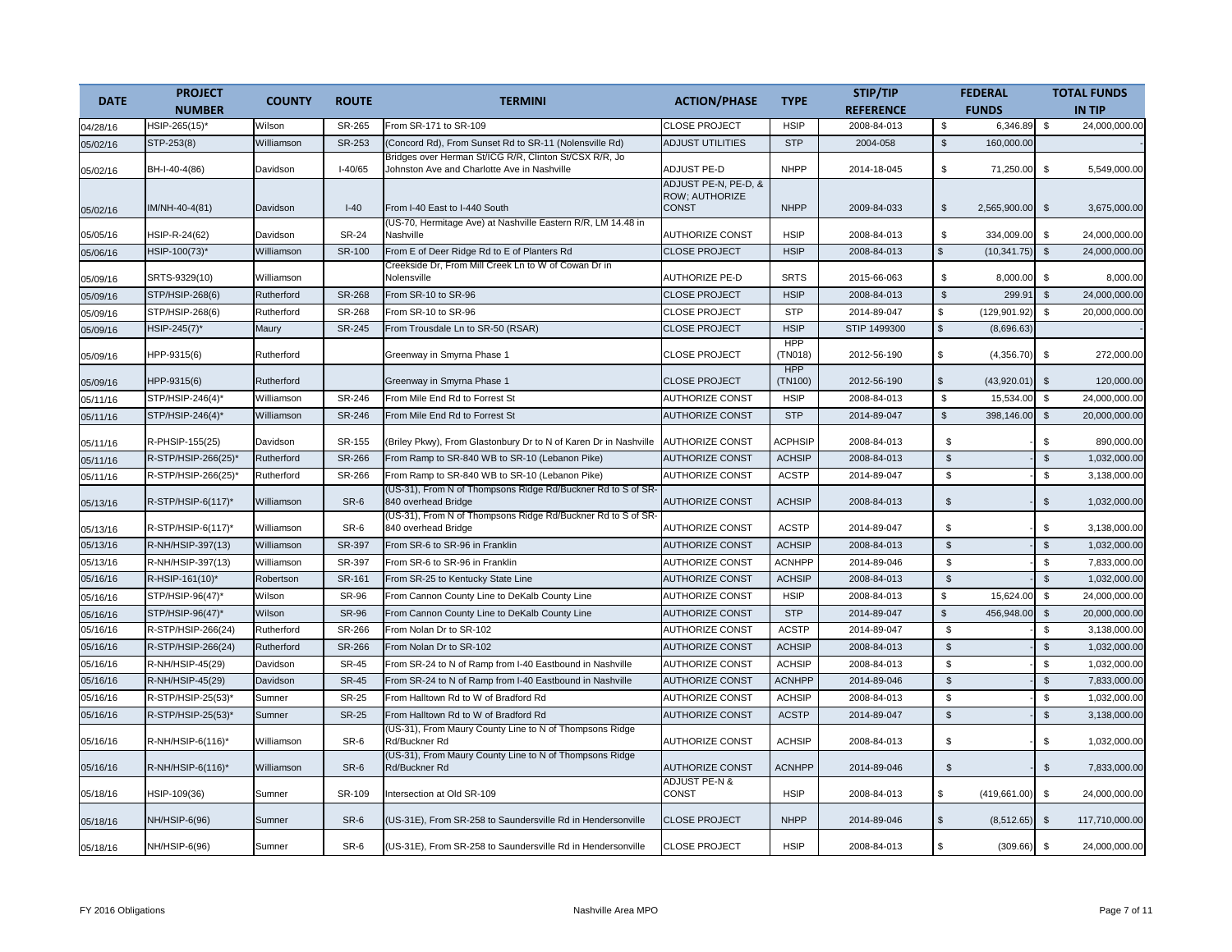| <b>DATE</b> | <b>PROJECT</b>        | <b>COUNTY</b> | <b>ROUTE</b>  | <b>TERMINI</b>                                                                                        | <b>ACTION/PHASE</b>               | <b>TYPE</b>           | STIP/TIP         |                | <b>FEDERAL</b> |                         | <b>TOTAL FUNDS</b> |
|-------------|-----------------------|---------------|---------------|-------------------------------------------------------------------------------------------------------|-----------------------------------|-----------------------|------------------|----------------|----------------|-------------------------|--------------------|
|             | <b>NUMBER</b>         |               |               |                                                                                                       |                                   |                       | <b>REFERENCE</b> |                | <b>FUNDS</b>   |                         | <b>IN TIP</b>      |
| 04/28/16    | HSIP-265(15)*         | Wilson        | SR-265        | From SR-171 to SR-109                                                                                 | <b>CLOSE PROJECT</b>              | <b>HSIP</b>           | 2008-84-013      | \$             | 6,346.89       | \$                      | 24,000,000.00      |
| 05/02/16    | STP-253(8)            | Williamson    | SR-253        | (Concord Rd), From Sunset Rd to SR-11 (Nolensville Rd)                                                | <b>ADJUST UTILITIES</b>           | <b>STP</b>            | 2004-058         | $\mathfrak{S}$ | 160,000.00     |                         |                    |
| 05/02/16    | BH-I-40-4(86)         | Davidson      | $I-40/65$     | Bridges over Herman St/ICG R/R, Clinton St/CSX R/R, Jo<br>Johnston Ave and Charlotte Ave in Nashville | <b>ADJUST PE-D</b>                | <b>NHPP</b>           | 2014-18-045      | \$             | 71,250.00      | \$                      | 5.549.000.00       |
|             |                       |               |               |                                                                                                       | ADJUST PE-N, PE-D, &              |                       |                  |                |                |                         |                    |
| 05/02/16    | IM/NH-40-4(81)        | Davidson      | $I-40$        | From I-40 East to I-440 South                                                                         | ROW; AUTHORIZE<br><b>CONST</b>    | <b>NHPP</b>           | 2009-84-033      | $\mathfrak s$  | 2,565,900.00   | $\mathfrak{S}$          | 3,675,000.00       |
| 05/05/16    | HSIP-R-24(62)         | Davidson      | <b>SR-24</b>  | (US-70, Hermitage Ave) at Nashville Eastern R/R, LM 14.48 in<br>Nashville                             | <b>AUTHORIZE CONST</b>            | <b>HSIP</b>           | 2008-84-013      | \$             | 334,009.00     | \$                      | 24,000,000.00      |
| 05/06/16    | HSIP-100(73)*         | Williamson    | SR-100        | From E of Deer Ridge Rd to E of Planters Rd                                                           | <b>CLOSE PROJECT</b>              | <b>HSIP</b>           | 2008-84-013      | $\mathbb{S}$   | (10, 341.75)   | $\mathfrak{S}$          | 24,000,000.00      |
| 05/09/16    | SRTS-9329(10)         | Williamson    |               | Creekside Dr, From Mill Creek Ln to W of Cowan Dr in<br>Nolensville                                   | <b>AUTHORIZE PE-D</b>             | <b>SRTS</b>           | 2015-66-063      | \$             | 8,000.00       | \$                      | 8,000.00           |
| 05/09/16    | STP/HSIP-268(6)       | Rutherford    | SR-268        | From SR-10 to SR-96                                                                                   | <b>CLOSE PROJECT</b>              | <b>HSIP</b>           | 2008-84-013      | $$\mathbb{S}$$ | 299.91         | $\sqrt[6]{\frac{1}{2}}$ | 24.000.000.00      |
| 05/09/16    | STP/HSIP-268(6)       | Rutherford    | SR-268        | From SR-10 to SR-96                                                                                   | <b>CLOSE PROJECT</b>              | <b>STP</b>            | 2014-89-047      | \$             | (129, 901.92)  | \$                      | 20,000,000.00      |
| 05/09/16    | HSIP-245(7)*          | Maury         | SR-245        | From Trousdale Ln to SR-50 (RSAR)                                                                     | <b>CLOSE PROJECT</b>              | <b>HSIP</b>           | STIP 1499300     | $\mathbf{s}$   | (8,696.63)     |                         |                    |
| 05/09/16    | HPP-9315(6)           | Rutherford    |               | Greenway in Smyrna Phase 1                                                                            | <b>CLOSE PROJECT</b>              | <b>HPP</b><br>(TN018) | 2012-56-190      | \$             | (4,356.70)     | \$                      | 272,000.00         |
| 05/09/16    | HPP-9315(6)           | Rutherford    |               | Greenway in Smyrna Phase 1                                                                            | <b>CLOSE PROJECT</b>              | <b>HPP</b><br>(TN100) | 2012-56-190      | \$             | (43,920.01)    | $\mathfrak{S}$          | 120,000.00         |
| 05/11/16    | STP/HSIP-246(4)*      | Williamson    | SR-246        | From Mile End Rd to Forrest St                                                                        | <b>AUTHORIZE CONST</b>            | <b>HSIP</b>           | 2008-84-013      | \$             | 15,534.00      | $$\mathbb{S}$$          | 24,000,000.00      |
| 05/11/16    | STP/HSIP-246(4)*      | Williamson    | SR-246        | From Mile End Rd to Forrest St                                                                        | <b>AUTHORIZE CONST</b>            | <b>STP</b>            | 2014-89-047      | $\frac{1}{2}$  | 398,146.00     | $\sqrt[6]{2}$           | 20,000,000.00      |
| 05/11/16    | R-PHSIP-155(25)       | Davidson      | SR-155        | (Briley Pkwy), From Glastonbury Dr to N of Karen Dr in Nashville                                      | <b>AUTHORIZE CONST</b>            | <b>ACPHSIP</b>        | 2008-84-013      | \$             |                | \$                      | 890,000.00         |
| 05/11/16    | R-STP/HSIP-266(25)    | Rutherford    | <b>SR-266</b> | From Ramp to SR-840 WB to SR-10 (Lebanon Pike)                                                        | <b>AUTHORIZE CONST</b>            | <b>ACHSIP</b>         | 2008-84-013      | $\mathfrak{s}$ |                | $\mathbb{S}$            | 1,032,000.00       |
| 05/11/16    | R-STP/HSIP-266(25)*   | Rutherford    | SR-266        | From Ramp to SR-840 WB to SR-10 (Lebanon Pike)                                                        | <b>AUTHORIZE CONST</b>            | <b>ACSTP</b>          | 2014-89-047      | $\mathfrak{s}$ |                | $\mathfrak{s}$          | 3,138,000.00       |
| 05/13/16    | $R$ -STP/HSIP-6(117)* | Williamson    | SR-6          | (US-31), From N of Thompsons Ridge Rd/Buckner Rd to S of SR-<br>840 overhead Bridge                   | <b>AUTHORIZE CONST</b>            | <b>ACHSIP</b>         | 2008-84-013      | $\mathfrak{s}$ |                | \$                      | 1,032,000.00       |
| 05/13/16    | R-STP/HSIP-6(117)*    | Williamson    | SR-6          | (US-31), From N of Thompsons Ridge Rd/Buckner Rd to S of SR<br>840 overhead Bridge                    | AUTHORIZE CONST                   | <b>ACSTP</b>          | 2014-89-047      | \$             |                | \$                      | 3,138,000.00       |
| 05/13/16    | R-NH/HSIP-397(13)     | Williamson    | SR-397        | From SR-6 to SR-96 in Franklin                                                                        | <b>AUTHORIZE CONST</b>            | <b>ACHSIP</b>         | 2008-84-013      | $\mathbb{S}$   |                | $\mathbb{S}$            | 1,032,000.00       |
| 05/13/16    | R-NH/HSIP-397(13)     | Williamson    | SR-397        | From SR-6 to SR-96 in Franklin                                                                        | <b>AUTHORIZE CONST</b>            | <b>ACNHPP</b>         | 2014-89-046      | $\mathfrak s$  |                | \$                      | 7,833,000.00       |
| 05/16/16    | R-HSIP-161(10)*       | Robertson     | SR-161        | From SR-25 to Kentucky State Line                                                                     | <b>AUTHORIZE CONST</b>            | <b>ACHSIP</b>         | 2008-84-013      | $\mathsf{\$}$  |                | $\mathfrak{s}$          | 1,032,000.00       |
| 05/16/16    | STP/HSIP-96(47)*      | Wilson        | <b>SR-96</b>  | From Cannon County Line to DeKalb County Line                                                         | <b>AUTHORIZE CONST</b>            | <b>HSIP</b>           | 2008-84-013      | \$             | 15,624.00      | \$                      | 24,000,000.00      |
| 05/16/16    | STP/HSIP-96(47)*      | Wilson        | <b>SR-96</b>  | From Cannon County Line to DeKalb County Line                                                         | <b>AUTHORIZE CONST</b>            | <b>STP</b>            | 2014-89-047      | $\mathbb{S}$   | 456,948.00     | $\mathbb{S}$            | 20,000,000.00      |
| 05/16/16    | R-STP/HSIP-266(24)    | Rutherford    | SR-266        | From Nolan Dr to SR-102                                                                               | <b>AUTHORIZE CONST</b>            | <b>ACSTP</b>          | 2014-89-047      | $\mathfrak s$  |                | $\mathfrak{s}$          | 3,138,000.00       |
| 05/16/16    | R-STP/HSIP-266(24)    | Rutherford    | SR-266        | From Nolan Dr to SR-102                                                                               | <b>AUTHORIZE CONST</b>            | <b>ACHSIP</b>         | 2008-84-013      | $\mathfrak{s}$ |                | $\mathbb{S}$            | 1,032,000.00       |
| 05/16/16    | R-NH/HSIP-45(29)      | Davidson      | <b>SR-45</b>  | From SR-24 to N of Ramp from I-40 Eastbound in Nashville                                              | <b>AUTHORIZE CONST</b>            | <b>ACHSIP</b>         | 2008-84-013      | \$             |                | $$\mathbb{S}$$          | 1,032,000.00       |
| 05/16/16    | R-NH/HSIP-45(29)      | Davidson      | <b>SR-45</b>  | From SR-24 to N of Ramp from I-40 Eastbound in Nashville                                              | <b>AUTHORIZE CONST</b>            | <b>ACNHPP</b>         | 2014-89-046      | $$\mathbb{S}$$ |                | $\mathbb{S}$            | 7,833,000.00       |
| 05/16/16    | R-STP/HSIP-25(53)     | Sumner        | <b>SR-25</b>  | From Halltown Rd to W of Bradford Rd                                                                  | <b>AUTHORIZE CONST</b>            | <b>ACHSIP</b>         | 2008-84-013      | $\mathfrak{s}$ |                | \$                      | 1,032,000.00       |
| 05/16/16    | R-STP/HSIP-25(53)*    | Sumner        | <b>SR-25</b>  | From Halltown Rd to W of Bradford Rd                                                                  | <b>AUTHORIZE CONST</b>            | <b>ACSTP</b>          | 2014-89-047      | $\mathfrak{S}$ |                | $\mathfrak{L}$          | 3,138,000.00       |
| 05/16/16    | R-NH/HSIP-6(116)*     | Williamson    | SR-6          | (US-31), From Maury County Line to N of Thompsons Ridge<br>Rd/Buckner Rd                              | <b>AUTHORIZE CONST</b>            | <b>ACHSIP</b>         | 2008-84-013      | \$             |                | \$                      | 1,032,000.00       |
| 05/16/16    | R-NH/HSIP-6(116)*     | Williamson    | SR-6          | (US-31), From Maury County Line to N of Thompsons Ridge<br>Rd/Buckner Rd                              | <b>AUTHORIZE CONST</b>            | <b>ACNHPP</b>         | 2014-89-046      | $\mathbb{S}$   |                | $\mathfrak{L}$          | 7,833,000.00       |
| 05/18/16    | HSIP-109(36)          | Sumner        | SR-109        | Intersection at Old SR-109                                                                            | <b>ADJUST PE-N &amp;</b><br>CONST | <b>HSIP</b>           | 2008-84-013      | \$             | (419,661.00)   | \$                      | 24,000,000.00      |
| 05/18/16    | NH/HSIP-6(96)         | Sumner        | SR-6          | (US-31E), From SR-258 to Saundersville Rd in Hendersonville                                           | <b>CLOSE PROJECT</b>              | <b>NHPP</b>           | 2014-89-046      | \$             | (8,512.65)     | $\mathfrak{s}$          | 117,710,000.00     |
| 05/18/16    | NH/HSIP-6(96)         | Sumner        | SR-6          | (US-31E), From SR-258 to Saundersville Rd in Hendersonville                                           | <b>CLOSE PROJECT</b>              | <b>HSIP</b>           | 2008-84-013      | \$             | (309.66)       | \$                      | 24,000,000.00      |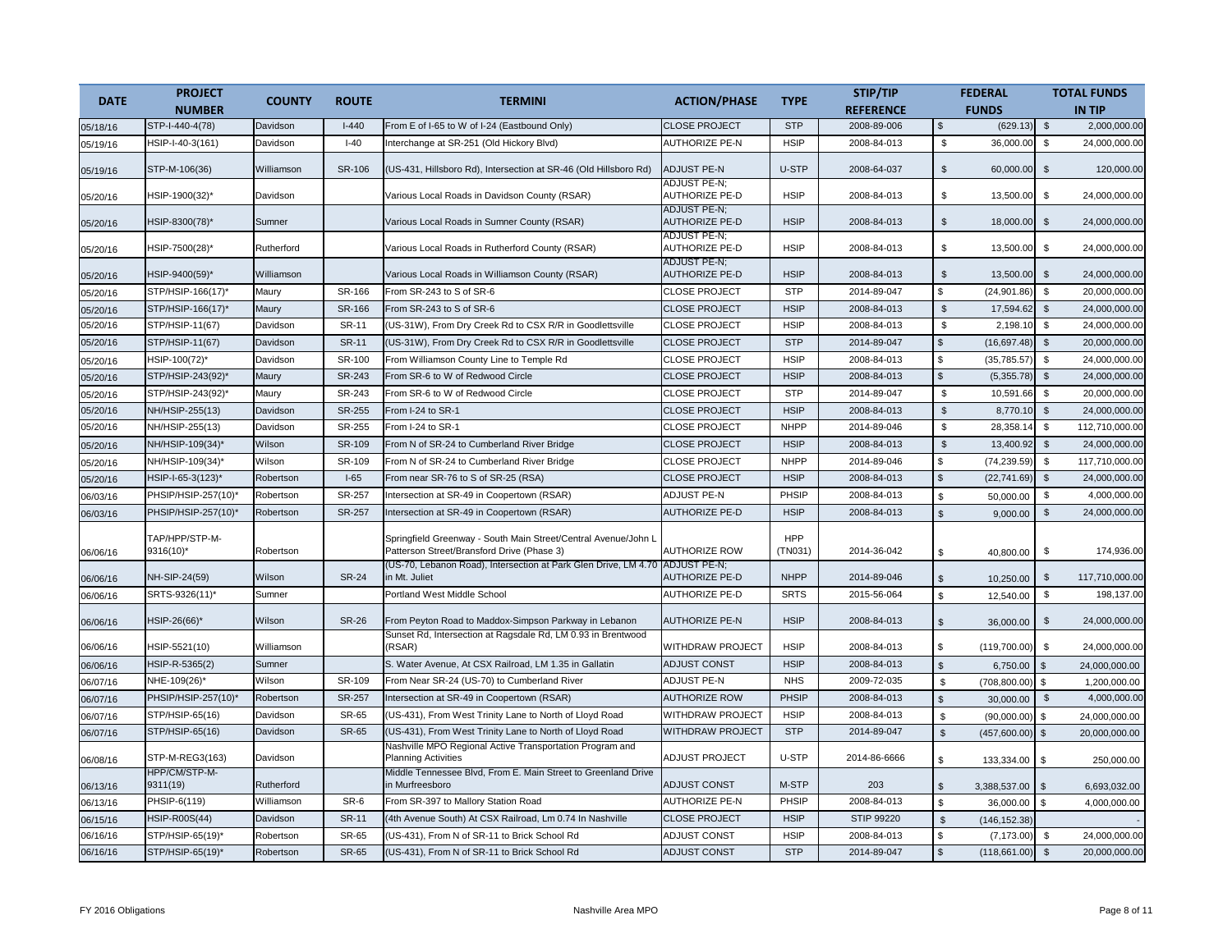| <b>DATE</b> | <b>PROJECT</b>              | <b>COUNTY</b> | <b>ROUTE</b> | <b>TERMINI</b>                                                                                               | <b>ACTION/PHASE</b>                          | <b>TYPE</b>    | STIP/TIP          |                     | <b>FEDERAL</b> |                | <b>TOTAL FUNDS</b> |
|-------------|-----------------------------|---------------|--------------|--------------------------------------------------------------------------------------------------------------|----------------------------------------------|----------------|-------------------|---------------------|----------------|----------------|--------------------|
|             | <b>NUMBER</b>               |               |              |                                                                                                              |                                              |                | <b>REFERENCE</b>  |                     | <b>FUNDS</b>   |                | <b>IN TIP</b>      |
| 05/18/16    | STP-I-440-4(78)             | Davidson      | $I-440$      | From E of I-65 to W of I-24 (Eastbound Only)                                                                 | <b>CLOSE PROJECT</b>                         | <b>STP</b>     | 2008-89-006       | \$                  | (629.13)       | \$             | 2,000,000.00       |
| 05/19/16    | HSIP-I-40-3(161)            | Davidson      | $I-40$       | Interchange at SR-251 (Old Hickory Blvd)                                                                     | <b>AUTHORIZE PE-N</b>                        | <b>HSIP</b>    | 2008-84-013       | \$                  | 36,000.00      | $\mathbb{S}$   | 24.000.000.00      |
| 05/19/16    | STP-M-106(36)               | Williamson    | SR-106       | (US-431, Hillsboro Rd), Intersection at SR-46 (Old Hillsboro Rd)                                             | <b>ADJUST PE-N</b>                           | U-STP          | 2008-64-037       | $\mathfrak s$       | 60,000.00      | $\mathfrak{S}$ | 120,000.00         |
| 05/20/16    | HSIP-1900(32)*              | Davidson      |              | Various Local Roads in Davidson County (RSAR)                                                                | <b>ADJUST PE-N:</b><br><b>AUTHORIZE PE-D</b> | <b>HSIP</b>    | 2008-84-013       | \$                  | 13,500.00      | \$             | 24,000,000.00      |
| 05/20/16    | HSIP-8300(78)*              | Sumner        |              | Various Local Roads in Sumner County (RSAR)                                                                  | <b>ADJUST PE-N:</b><br><b>AUTHORIZE PE-D</b> | <b>HSIP</b>    | 2008-84-013       | $\mathfrak{S}$      | 18,000.00      | $\mathfrak{S}$ | 24,000,000.00      |
| 05/20/16    | HSIP-7500(28)*              | Rutherford    |              | Various Local Roads in Rutherford County (RSAR)                                                              | <b>ADJUST PE-N:</b><br>AUTHORIZE PE-D        | <b>HSIP</b>    | 2008-84-013       | \$                  | 13,500.00      | \$             | 24,000,000.00      |
| 05/20/16    | HSIP-9400(59)*              | Williamson    |              | Various Local Roads in Williamson County (RSAR)                                                              | <b>ADJUST PE-N:</b><br><b>AUTHORIZE PE-D</b> | <b>HSIP</b>    | 2008-84-013       | \$                  | 13,500.00      | $\mathfrak{s}$ | 24,000,000.00      |
| 05/20/16    | STP/HSIP-166(17)*           | Maury         | SR-166       | From SR-243 to S of SR-6                                                                                     | <b>CLOSE PROJECT</b>                         | <b>STP</b>     | 2014-89-047       | \$                  | (24, 901.86)   | \$             | 20,000,000.00      |
| 05/20/16    | STP/HSIP-166(17)*           | Maury         | SR-166       | From SR-243 to S of SR-6                                                                                     | <b>CLOSE PROJECT</b>                         | <b>HSIP</b>    | 2008-84-013       | $$\mathbb{S}$$      | 17,594.62      | $\mathfrak s$  | 24,000,000.00      |
| 05/20/16    | STP/HSIP-11(67)             | Davidson      | SR-11        | (US-31W), From Dry Creek Rd to CSX R/R in Goodlettsville                                                     | <b>CLOSE PROJECT</b>                         | <b>HSIP</b>    | 2008-84-013       | \$                  | 2,198.10       | \$             | 24,000,000.00      |
| 05/20/16    | STP/HSIP-11(67)             | Davidson      | <b>SR-11</b> | (US-31W), From Dry Creek Rd to CSX R/R in Goodlettsville                                                     | <b>CLOSE PROJECT</b>                         | <b>STP</b>     | 2014-89-047       | $\mathfrak{L}$      | (16,697.48)    | $\mathfrak{S}$ | 20,000,000.00      |
| 05/20/16    | HSIP-100(72)*               | Davidson      | SR-100       | From Williamson County Line to Temple Rd                                                                     | <b>CLOSE PROJECT</b>                         | <b>HSIP</b>    | 2008-84-013       | \$                  | (35, 785.57)   | \$             | 24,000,000.00      |
| 05/20/16    | STP/HSIP-243(92)*           | Maury         | SR-243       | From SR-6 to W of Redwood Circle                                                                             | <b>CLOSE PROJECT</b>                         | <b>HSIP</b>    | 2008-84-013       | $\mathbf{s}$        | (5,355.78)     | $\mathfrak{S}$ | 24,000,000.00      |
| 05/20/16    | STP/HSIP-243(92)*           | Maury         | SR-243       | From SR-6 to W of Redwood Circle                                                                             | <b>CLOSE PROJECT</b>                         | <b>STP</b>     | 2014-89-047       | \$                  | 10,591.66      | \$             | 20,000,000.00      |
| 05/20/16    | NH/HSIP-255(13)             | Davidson      | SR-255       | From I-24 to SR-1                                                                                            | <b>CLOSE PROJECT</b>                         | <b>HSIP</b>    | 2008-84-013       | $$\mathbb{S}$$      | 8.770.10       | $$\mathbb{S}$$ | 24.000.000.00      |
| 05/20/16    | NH/HSIP-255(13)             | Davidson      | SR-255       | From I-24 to SR-1                                                                                            | <b>CLOSE PROJECT</b>                         | <b>NHPP</b>    | 2014-89-046       | \$                  | 28,358.14      | \$             | 112,710,000.00     |
| 05/20/16    | NH/HSIP-109(34)*            | Wilson        | SR-109       | From N of SR-24 to Cumberland River Bridge                                                                   | <b>CLOSE PROJECT</b>                         | <b>HSIP</b>    | 2008-84-013       | $\mathfrak{L}$      | 13,400.92      | \$             | 24,000,000.00      |
| 05/20/16    | NH/HSIP-109(34)             | Wilson        | SR-109       | From N of SR-24 to Cumberland River Bridge                                                                   | <b>CLOSE PROJECT</b>                         | <b>NHPP</b>    | 2014-89-046       | \$                  | (74, 239.59)   | \$             | 117,710,000.00     |
| 05/20/16    | HSIP-I-65-3(123)*           | Robertson     | $I-65$       | From near SR-76 to S of SR-25 (RSA)                                                                          | <b>CLOSE PROJECT</b>                         | <b>HSIP</b>    | 2008-84-013       | \$                  | (22, 741.69)   | $$\mathbb{S}$$ | 24,000,000.00      |
| 06/03/16    | PHSIP/HSIP-257(10)*         | Robertson     | SR-257       | Intersection at SR-49 in Coopertown (RSAR)                                                                   | <b>ADJUST PE-N</b>                           | PHSIP          | 2008-84-013       | \$                  | 50,000.00      | \$             | 4,000,000.00       |
| 06/03/16    | PHSIP/HSIP-257(10)*         | Robertson     | SR-257       | Intersection at SR-49 in Coopertown (RSAR)                                                                   | <b>AUTHORIZE PE-D</b>                        | <b>HSIP</b>    | 2008-84-013       | $\mathfrak{s}$      | 9,000.00       | \$             | 24,000,000.00      |
| 06/06/16    | TAP/HPP/STP-M-<br>9316(10)* | Robertson     |              | Springfield Greenway - South Main Street/Central Avenue/John L<br>Patterson Street/Bransford Drive (Phase 3) | <b>AUTHORIZE ROW</b>                         | HPP<br>(TN031) | 2014-36-042       | \$                  | 40,800.00      | \$             | 174,936.00         |
| 06/06/16    | NH-SIP-24(59)               | Wilson        | <b>SR-24</b> | (US-70, Lebanon Road), Intersection at Park Glen Drive, LM 4.70<br>in Mt. Juliet                             | <b>ADJUST PE-N:</b><br><b>AUTHORIZE PE-D</b> | <b>NHPP</b>    | 2014-89-046       | $\mathfrak s$       | 10,250.00      | $\mathfrak{S}$ | 117,710,000.00     |
| 06/06/16    | SRTS-9326(11)*              | Sumner        |              | Portland West Middle School                                                                                  | <b>AUTHORIZE PE-D</b>                        | <b>SRTS</b>    | 2015-56-064       | \$                  | 12,540.00      | \$             | 198,137.00         |
| 06/06/16    | HSIP-26(66)*                | Wilson        | <b>SR-26</b> | From Peyton Road to Maddox-Simpson Parkway in Lebanon                                                        | <b>AUTHORIZE PE-N</b>                        | <b>HSIP</b>    | 2008-84-013       | $\mathfrak{S}$      | 36,000.00      | \$             | 24,000,000.00      |
| 06/06/16    | HSIP-5521(10)               | Williamson    |              | Sunset Rd, Intersection at Ragsdale Rd, LM 0.93 in Brentwood<br>(RSAR)                                       | WITHDRAW PROJECT                             | <b>HSIP</b>    | 2008-84-013       | \$                  | (119,700.00)   | \$             | 24,000,000.00      |
| 06/06/16    | HSIP-R-5365(2)              | Sumner        |              | S. Water Avenue, At CSX Railroad, LM 1.35 in Gallatin                                                        | <b>ADJUST CONST</b>                          | <b>HSIP</b>    | 2008-84-013       | $\hat{\mathcal{S}}$ | 6.750.00       | $\mathfrak{L}$ | 24.000.000.00      |
| 06/07/16    | NHE-109(26)*                | Wilson        | SR-109       | From Near SR-24 (US-70) to Cumberland River                                                                  | <b>ADJUST PE-N</b>                           | <b>NHS</b>     | 2009-72-035       | \$                  | (708, 800.00)  | \$             | 1,200,000.00       |
| 06/07/16    | PHSIP/HSIP-257(10)*         | Robertson     | SR-257       | Intersection at SR-49 in Coopertown (RSAR)                                                                   | <b>AUTHORIZE ROW</b>                         | PHSIP          | 2008-84-013       | \$.                 | 30,000.00      | $\sqrt[6]{3}$  | 4,000,000.00       |
| 06/07/16    | STP/HSIP-65(16)             | Davidson      | SR-65        | (US-431), From West Trinity Lane to North of Lloyd Road                                                      | WITHDRAW PROJECT                             | <b>HSIP</b>    | 2008-84-013       | $\mathfrak{L}$      | (90,000.00)    | \$             | 24,000,000.00      |
| 06/07/16    | STP/HSIP-65(16)             | Davidson      | <b>SR-65</b> | (US-431), From West Trinity Lane to North of Lloyd Road                                                      | <b>WITHDRAW PROJECT</b>                      | <b>STP</b>     | 2014-89-047       | $\mathfrak{s}$      | (457,600.00)   | \$             | 20,000,000.00      |
| 06/08/16    | STP-M-REG3(163)             | Davidson      |              | Nashville MPO Regional Active Transportation Program and<br><b>Planning Activities</b>                       | <b>ADJUST PROJECT</b>                        | U-STP          | 2014-86-6666      | \$                  | 133,334.00     | \$.            | 250.000.00         |
| 06/13/16    | HPP/CM/STP-M-<br>9311(19)   | Rutherford    |              | Middle Tennessee Blvd, From E. Main Street to Greenland Drive<br>in Murfreesboro                             | <b>ADJUST CONST</b>                          | M-STP          | 203               | $\mathfrak s$       | 3,388,537.00   | -S             | 6,693,032.00       |
| 06/13/16    | PHSIP-6(119)                | Williamson    | SR-6         | From SR-397 to Mallory Station Road                                                                          | AUTHORIZE PE-N                               | PHSIP          | 2008-84-013       | \$                  | 36,000.00      | \$             | 4,000,000.00       |
| 06/15/16    | <b>HSIP-R00S(44)</b>        | Davidson      | <b>SR-11</b> | (4th Avenue South) At CSX Railroad, Lm 0.74 In Nashville                                                     | <b>CLOSE PROJECT</b>                         | <b>HSIP</b>    | <b>STIP 99220</b> | $\mathfrak{L}$      | (146, 152.38)  |                |                    |
| 06/16/16    | STP/HSIP-65(19)*            | Robertson     | <b>SR-65</b> | (US-431), From N of SR-11 to Brick School Rd                                                                 | <b>ADJUST CONST</b>                          | <b>HSIP</b>    | 2008-84-013       | \$                  | (7, 173.00)    | \$             | 24,000,000.00      |
| 06/16/16    | STP/HSIP-65(19)*            | Robertson     | <b>SR-65</b> | (US-431), From N of SR-11 to Brick School Rd                                                                 | <b>ADJUST CONST</b>                          | <b>STP</b>     | 2014-89-047       | $\mathfrak{L}$      | (118, 661.00)  | $\mathsf{\$}$  | 20,000,000.00      |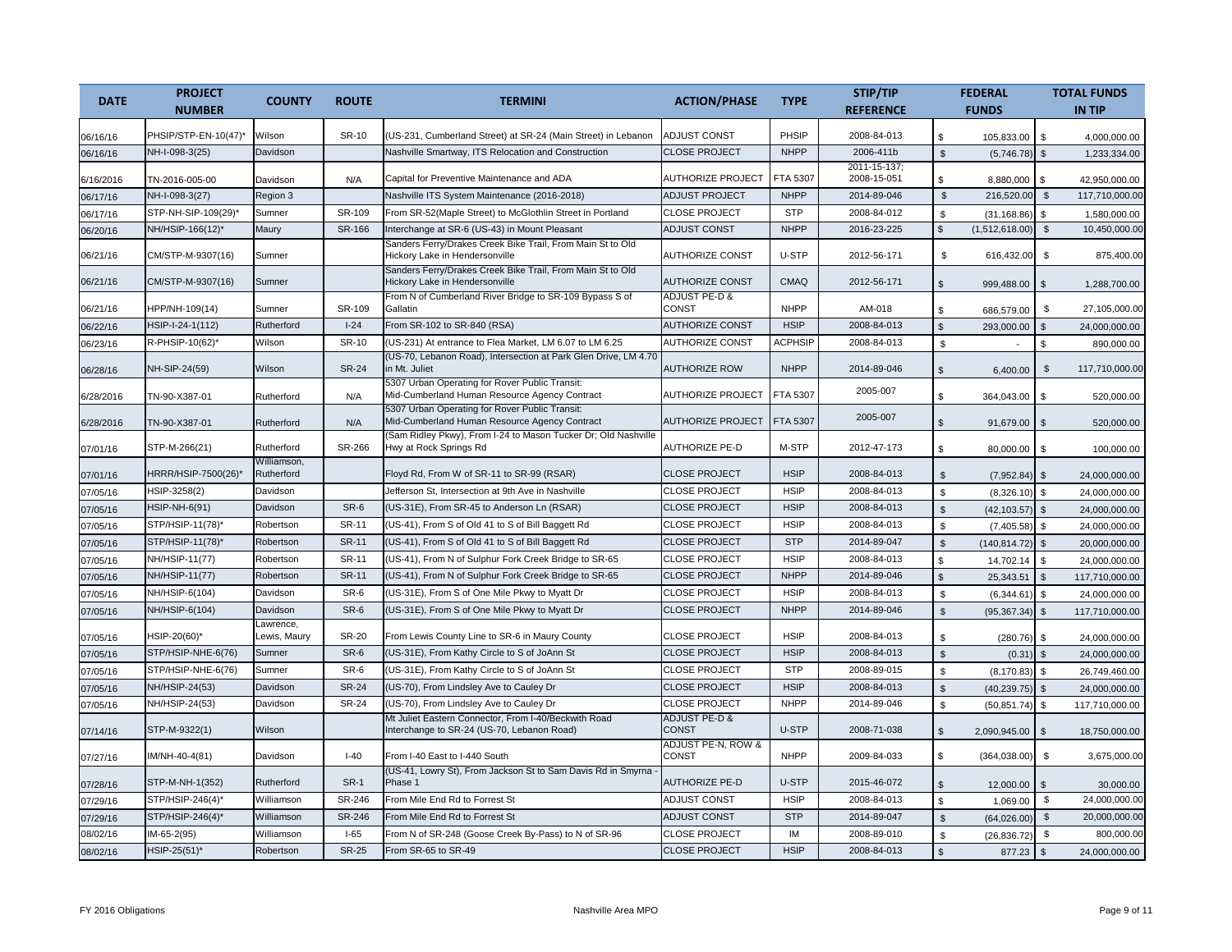| <b>DATE</b> | <b>PROJECT</b>       | <b>COUNTY</b>             | <b>ROUTE</b>  | <b>TERMINI</b>                                                                                     | <b>ACTION/PHASE</b>                      | <b>TYPE</b>    | STIP/TIP                    |                | <b>FEDERAL</b>    |                | <b>TOTAL FUNDS</b><br><b>IN TIP</b> |
|-------------|----------------------|---------------------------|---------------|----------------------------------------------------------------------------------------------------|------------------------------------------|----------------|-----------------------------|----------------|-------------------|----------------|-------------------------------------|
|             | <b>NUMBER</b>        |                           |               |                                                                                                    |                                          |                | <b>REFERENCE</b>            |                | <b>FUNDS</b>      |                |                                     |
| 06/16/16    | PHSIP/STP-EN-10(47)* | Wilson                    | <b>SR-10</b>  | (US-231, Cumberland Street) at SR-24 (Main Street) in Lebanon                                      | <b>ADJUST CONST</b>                      | PHSIP          | 2008-84-013                 | \$             | 105,833.00        | l S            | 4,000,000.00                        |
| 06/16/16    | NH-I-098-3(25)       | Davidson                  |               | Nashville Smartway, ITS Relocation and Construction                                                | <b>CLOSE PROJECT</b>                     | <b>NHPP</b>    | 2006-411b                   | $\mathfrak{S}$ | (5,746.78)        | $\mathbb{S}$   | 1,233,334.00                        |
| 6/16/2016   | TN-2016-005-00       | Davidson                  | N/A           | Capital for Preventive Maintenance and ADA                                                         | <b>AUTHORIZE PROJECT</b>                 | FTA 5307       | 2011-15-137;<br>2008-15-051 | \$             | 8,880,000         | \$             | 42,950,000.00                       |
| 06/17/16    | NH-I-098-3(27)       | Region 3                  |               | Nashville ITS System Maintenance (2016-2018)                                                       | <b>ADJUST PROJECT</b>                    | <b>NHPP</b>    | 2014-89-046                 | $\mathfrak{s}$ | 216,520.00        | $\mathfrak{s}$ | 117.710.000.00                      |
| 06/17/16    | STP-NH-SIP-109(29)*  | Sumner                    | SR-109        | From SR-52(Maple Street) to McGlothlin Street in Portland                                          | <b>CLOSE PROJECT</b>                     | <b>STP</b>     | 2008-84-012                 | $$\mathbb{S}$$ | (31, 168.86)      | \$             | 1,580,000.00                        |
| 06/20/16    | NH/HSIP-166(12)*     | Maury                     | SR-166        | nterchange at SR-6 (US-43) in Mount Pleasant                                                       | <b>ADJUST CONST</b>                      | <b>NHPP</b>    | 2016-23-225                 | $\mathfrak s$  | (1,512,618.00)    | $\mathfrak{s}$ | 10,450,000.00                       |
| 06/21/16    | CM/STP-M-9307(16)    | Sumner                    |               | Sanders Ferry/Drakes Creek Bike Trail, From Main St to Old<br>Hickory Lake in Hendersonville       | <b>AUTHORIZE CONST</b>                   | U-STP          | 2012-56-171                 | \$             | 616,432.00        | \$             | 875,400.00                          |
| 06/21/16    | CM/STP-M-9307(16)    | Sumner                    |               | Sanders Ferry/Drakes Creek Bike Trail, From Main St to Old<br>Hickory Lake in Hendersonville       | <b>AUTHORIZE CONST</b>                   | <b>CMAQ</b>    | 2012-56-171                 | $\mathbf{\$}$  | 999,488.00        | $\mathbf{\$}$  | 1,288,700.00                        |
| 06/21/16    | HPP/NH-109(14)       | Sumner                    | SR-109        | From N of Cumberland River Bridge to SR-109 Bypass S of<br>Gallatin                                | <b>ADJUST PE-D &amp;</b><br><b>CONST</b> | <b>NHPP</b>    | AM-018                      | \$             | 686,579.00        | \$             | 27,105,000.00                       |
| 06/22/16    | HSIP-I-24-1(112)     | Rutherford                | $I-24$        | From SR-102 to SR-840 (RSA)                                                                        | <b>AUTHORIZE CONST</b>                   | <b>HSIP</b>    | 2008-84-013                 | $\mathfrak{L}$ | 293,000.00        | $\mathbb{S}$   | 24,000,000.00                       |
| 06/23/16    | R-PHSIP-10(62)*      | Wilson                    | SR-10         | (US-231) At entrance to Flea Market, LM 6.07 to LM 6.25                                            | <b>AUTHORIZE CONST</b>                   | <b>ACPHSIP</b> | 2008-84-013                 | \$             |                   | $\mathfrak{L}$ | 890,000.00                          |
| 06/28/16    | NH-SIP-24(59)        | Wilson                    | <b>SR-24</b>  | (US-70, Lebanon Road), Intersection at Park Glen Drive, LM 4.70<br>n Mt. Juliet                    | <b>AUTHORIZE ROW</b>                     | <b>NHPP</b>    | 2014-89-046                 | \$             | 6,400.00          | \$             | 117,710,000.00                      |
| 6/28/2016   | TN-90-X387-01        | Rutherford                | N/A           | 5307 Urban Operating for Rover Public Transit:<br>Mid-Cumberland Human Resource Agency Contract    | <b>AUTHORIZE PROJECT</b>                 | FTA 5307       | 2005-007                    | \$             | 364,043.00 \$     |                | 520,000.00                          |
| 6/28/2016   | TN-90-X387-01        | Rutherford                | N/A           | 5307 Urban Operating for Rover Public Transit:<br>Mid-Cumberland Human Resource Agency Contract    | <b>AUTHORIZE PROJECT</b>                 | FTA 5307       | 2005-007                    | $\mathfrak{L}$ | $91.679.00$ \$    |                | 520.000.00                          |
| 07/01/16    | STP-M-266(21)        | Rutherford                | SR-266        | (Sam Ridley Pkwy), From I-24 to Mason Tucker Dr; Old Nashville<br>Hwy at Rock Springs Rd           | <b>AUTHORIZE PE-D</b>                    | M-STP          | 2012-47-173                 | \$             | 80,000.00         | l \$           | 100,000.00                          |
| 07/01/16    | HRRR/HSIP-7500(26)*  | Williamson,<br>Rutherford |               | Floyd Rd, From W of SR-11 to SR-99 (RSAR)                                                          | <b>CLOSE PROJECT</b>                     | <b>HSIP</b>    | 2008-84-013                 | $\mathfrak{S}$ | $(7,952.84)$ \$   |                | 24,000,000.00                       |
| 07/05/16    | HSIP-3258(2)         | Davidson                  |               | Jefferson St. Intersection at 9th Ave in Nashville                                                 | <b>CLOSE PROJECT</b>                     | <b>HSIP</b>    | 2008-84-013                 | $$\mathbb{S}$$ | (8,326.10)        | -S             | 24,000,000.00                       |
| 07/05/16    | HSIP-NH-6(91)        | Davidson                  | SR-6          | (US-31E), From SR-45 to Anderson Ln (RSAR)                                                         | <b>CLOSE PROJECT</b>                     | <b>HSIP</b>    | 2008-84-013                 | $\mathfrak{L}$ | $(42, 103.57)$ \$ |                | 24,000,000.00                       |
| 07/05/16    | STP/HSIP-11(78)*     | Robertson                 | <b>SR-11</b>  | (US-41), From S of Old 41 to S of Bill Baggett Rd                                                  | <b>CLOSE PROJECT</b>                     | <b>HSIP</b>    | 2008-84-013                 | $$\mathbb{S}$$ | $(7,405.58)$ \$   |                | 24,000,000.00                       |
| 07/05/16    | STP/HSIP-11(78)*     | Robertson                 | <b>SR-11</b>  | (US-41), From S of Old 41 to S of Bill Baggett Rd                                                  | <b>CLOSE PROJECT</b>                     | <b>STP</b>     | 2014-89-047                 | $\mathfrak{S}$ | $(140.814.72)$ \$ |                | 20,000,000.00                       |
| 07/05/16    | NH/HSIP-11(77)       | Robertson                 | SR-11         | (US-41), From N of Sulphur Fork Creek Bridge to SR-65                                              | <b>CLOSE PROJECT</b>                     | <b>HSIP</b>    | 2008-84-013                 | \$             | 14,702.14         | <b>S</b>       | 24,000,000.00                       |
| 07/05/16    | NH/HSIP-11(77)       | Robertson                 | <b>SR-11</b>  | (US-41), From N of Sulphur Fork Creek Bridge to SR-65                                              | <b>CLOSE PROJECT</b>                     | <b>NHPP</b>    | 2014-89-046                 | $\mathbb{S}$   | 25,343.51         | $\mathfrak{s}$ | 117,710,000.00                      |
| 07/05/16    | NH/HSIP-6(104)       | Davidson                  | SR-6          | (US-31E), From S of One Mile Pkwy to Myatt Dr                                                      | <b>CLOSE PROJECT</b>                     | <b>HSIP</b>    | 2008-84-013                 | \$             | $(6,344.61)$ \$   |                | 24,000,000.00                       |
| 07/05/16    | NH/HSIP-6(104)       | Davidson                  | SR-6          | (US-31E), From S of One Mile Pkwy to Myatt Dr                                                      | <b>CLOSE PROJECT</b>                     | <b>NHPP</b>    | 2014-89-046                 | $\mathbb{S}$   | (95, 367, 34)     | \$             | 117,710,000.00                      |
| 07/05/16    | HSIP-20(60)*         | Lawrence.<br>Lewis, Maury | <b>SR-20</b>  | From Lewis County Line to SR-6 in Maury County                                                     | <b>CLOSE PROJECT</b>                     | <b>HSIP</b>    | 2008-84-013                 | \$             | $(280.76)$ \$     |                | 24,000,000.00                       |
| 07/05/16    | STP/HSIP-NHE-6(76)   | Sumner                    | SR-6          | (US-31E), From Kathy Circle to S of JoAnn St                                                       | <b>CLOSE PROJECT</b>                     | <b>HSIP</b>    | 2008-84-013                 | $\mathfrak{S}$ | (0.31)            | $\mathbb{S}$   | 24,000,000.00                       |
| 07/05/16    | STP/HSIP-NHE-6(76)   | Sumner                    | SR-6          | (US-31E), From Kathy Circle to S of JoAnn St                                                       | <b>CLOSE PROJECT</b>                     | <b>STP</b>     | 2008-89-015                 | $$\mathbb{S}$$ | (8, 170.83)       | \$             | 26,749,460.00                       |
| 07/05/16    | NH/HSIP-24(53)       | Davidson                  | <b>SR-24</b>  | (US-70), From Lindsley Ave to Cauley Dr                                                            | <b>CLOSE PROJECT</b>                     | <b>HSIP</b>    | 2008-84-013                 | $\mathfrak{S}$ | $(40, 239.75)$ \$ |                | 24,000,000.00                       |
| 07/05/16    | NH/HSIP-24(53)       | Davidson                  | <b>SR-24</b>  | (US-70), From Lindsley Ave to Cauley Dr                                                            | <b>CLOSE PROJECT</b>                     | <b>NHPP</b>    | 2014-89-046                 | \$             | (50, 851.74)      | \$             | 117,710,000.00                      |
| 07/14/16    | STP-M-9322(1)        | Wilson                    |               | Mt Juliet Eastern Connector, From I-40/Beckwith Road<br>Interchange to SR-24 (US-70, Lebanon Road) | <b>ADJUST PE-D &amp;</b><br><b>CONST</b> | U-STP          | 2008-71-038                 | \$             | 2,090,945.00      | \$             | 18,750,000.00                       |
| 07/27/16    | IM/NH-40-4(81)       | Davidson                  | $I-40$        | From I-40 East to I-440 South                                                                      | ADJUST PE-N, ROW &<br>CONST              | <b>NHPP</b>    | 2009-84-033                 | s.             | (364,038.00)      | \$             | 3,675,000.00                        |
| 07/28/16    | STP-M-NH-1(352)      | Rutherford                | <b>SR-1</b>   | (US-41, Lowry St), From Jackson St to Sam Davis Rd in Smyrna<br>Phase 1                            | <b>AUTHORIZE PE-D</b>                    | U-STP          | 2015-46-072                 | $\mathfrak{L}$ | 12,000.00         | $\mathbf{\$}$  | 30,000.00                           |
| 07/29/16    | STP/HSIP-246(4)*     | Williamson                | SR-246        | From Mile End Rd to Forrest St                                                                     | <b>ADJUST CONST</b>                      | <b>HSIP</b>    | 2008-84-013                 | \$             | 1,069.00          | \$             | 24,000,000.00                       |
| 07/29/16    | STP/HSIP-246(4)*     | Williamson                | <b>SR-246</b> | From Mile End Rd to Forrest St                                                                     | <b>ADJUST CONST</b>                      | <b>STP</b>     | 2014-89-047                 | $\mathfrak{L}$ | (64,026.00)       | $\mathsf{\$}$  | 20,000,000.00                       |
| 08/02/16    | IM-65-2(95)          | Williamson                | $I-65$        | From N of SR-248 (Goose Creek By-Pass) to N of SR-96                                               | <b>CLOSE PROJECT</b>                     | IM             | 2008-89-010                 | \$             | (26, 836.72)      | \$             | 800,000.00                          |
| 08/02/16    | HSIP-25(51)*         | Robertson                 | <b>SR-25</b>  | From SR-65 to SR-49                                                                                | <b>CLOSE PROJECT</b>                     | <b>HSIP</b>    | 2008-84-013                 |                | 877.23            | $\mathbb{S}$   | 24,000,000.00                       |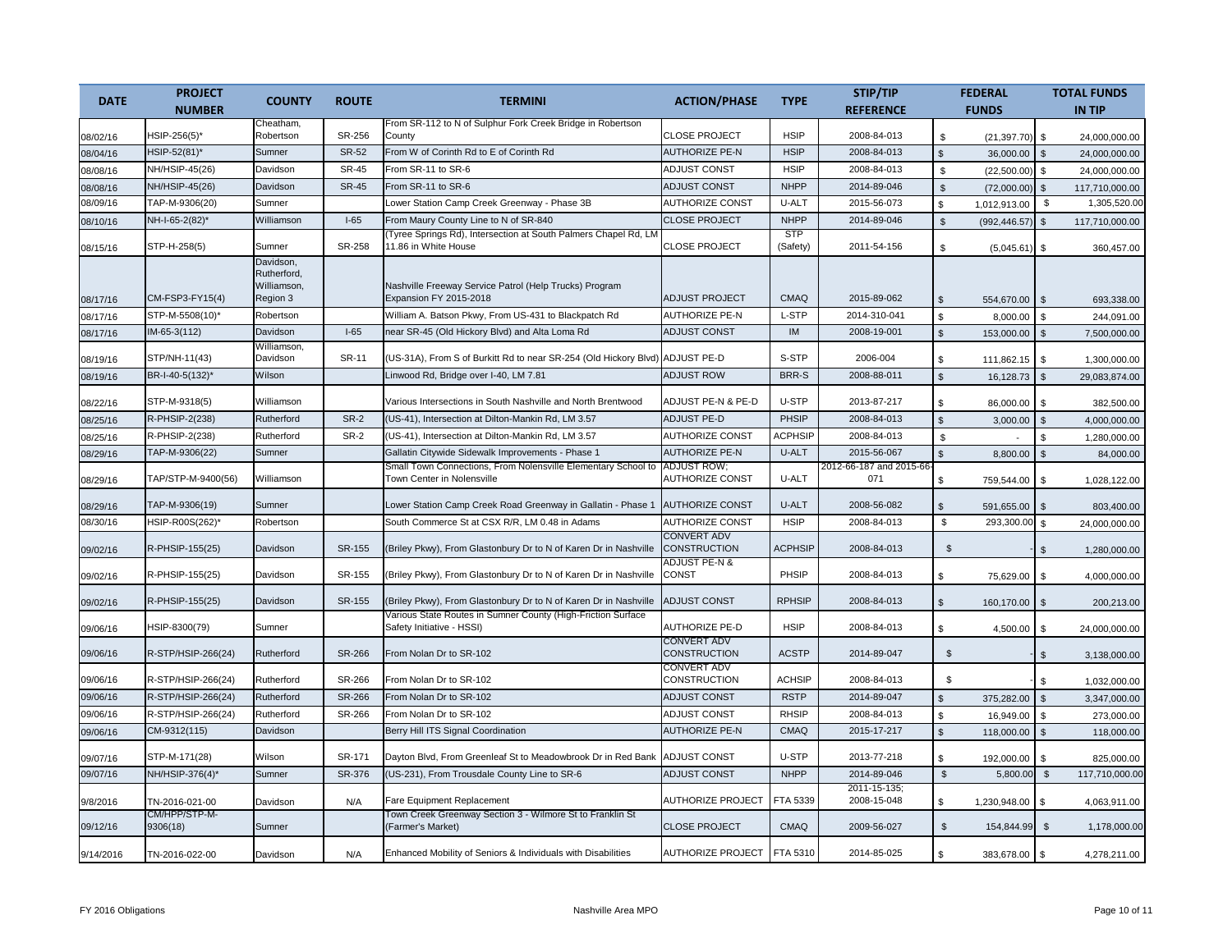|             | <b>PROJECT</b>            |                                                     |               | <b>TERMINI</b>                                                                              |                                              | <b>TYPE</b>            | STIP/TIP                       | <b>FEDERAL</b>                   |                | <b>TOTAL FUNDS</b> |
|-------------|---------------------------|-----------------------------------------------------|---------------|---------------------------------------------------------------------------------------------|----------------------------------------------|------------------------|--------------------------------|----------------------------------|----------------|--------------------|
| <b>DATE</b> | <b>NUMBER</b>             | <b>COUNTY</b>                                       | <b>ROUTE</b>  |                                                                                             | <b>ACTION/PHASE</b>                          |                        | <b>REFERENCE</b>               | <b>FUNDS</b>                     |                | <b>IN TIP</b>      |
| 08/02/16    | HSIP-256(5)*              | Cheatham,<br>Robertson                              | SR-256        | From SR-112 to N of Sulphur Fork Creek Bridge in Robertson<br>County                        | <b>CLOSE PROJECT</b>                         | <b>HSIP</b>            | 2008-84-013                    | \$<br>$(21, 397.70)$ \$          |                | 24,000,000.00      |
| 08/04/16    | HSIP-52(81)*              | Sumner                                              | <b>SR-52</b>  | From W of Corinth Rd to E of Corinth Rd                                                     | <b>AUTHORIZE PE-N</b>                        | <b>HSIP</b>            | 2008-84-013                    | $\mathbf{\hat{s}}$<br>36,000.00  | $\mathbb{S}$   | 24,000,000.00      |
| 08/08/16    | NH/HSIP-45(26)            | Davidson                                            | <b>SR-45</b>  | From SR-11 to SR-6                                                                          | ADJUST CONST                                 | <b>HSIP</b>            | 2008-84-013                    | \$<br>(22,500.00)                | \$             | 24,000,000.00      |
| 08/08/16    | NH/HSIP-45(26)            | Davidson                                            | <b>SR-45</b>  | From SR-11 to SR-6                                                                          | <b>ADJUST CONST</b>                          | <b>NHPP</b>            | 2014-89-046                    | $\mathfrak{L}$<br>(72,000.00)    | $\mathfrak{s}$ | 117,710,000.00     |
| 08/09/16    | TAP-M-9306(20)            | Sumner                                              |               | Lower Station Camp Creek Greenway - Phase 3B                                                | <b>AUTHORIZE CONST</b>                       | U-ALT                  | 2015-56-073                    | \$<br>1,012,913.00               | \$             | 1,305,520.00       |
| 08/10/16    | NH-I-65-2(82)*            | Williamson                                          | $I-65$        | From Maury County Line to N of SR-840                                                       | <b>CLOSE PROJECT</b>                         | <b>NHPP</b>            | 2014-89-046                    | $\mathfrak s$<br>(992, 446.57)   | $\mathfrak{s}$ | 117,710,000.00     |
| 08/15/16    | STP-H-258(5)              | Sumner                                              | SR-258        | (Tyree Springs Rd), Intersection at South Palmers Chapel Rd, LM<br>11.86 in White House     | <b>CLOSE PROJECT</b>                         | <b>STP</b><br>(Safety) | 2011-54-156                    | \$<br>(5,045.61)                 | \$             | 360,457.00         |
| 08/17/16    | CM-FSP3-FY15(4)           | Davidson,<br>Rutherford,<br>Williamson,<br>Region 3 |               | Nashville Freeway Service Patrol (Help Trucks) Program<br>Expansion FY 2015-2018            | <b>ADJUST PROJECT</b>                        | <b>CMAQ</b>            | 2015-89-062                    | $\mathfrak{L}$<br>554,670.00     | $\mathbb{S}$   | 693,338.00         |
| 08/17/16    | STP-M-5508(10)*           | Robertson                                           |               | William A. Batson Pkwy, From US-431 to Blackpatch Rd                                        | <b>AUTHORIZE PE-N</b>                        | L-STP                  | 2014-310-041                   | \$<br>8,000.00                   | \$             | 244,091.00         |
| 08/17/16    | IM-65-3(112)              | Davidson                                            | $I-65$        | near SR-45 (Old Hickory Blvd) and Alta Loma Rd                                              | <b>ADJUST CONST</b>                          | IM                     | 2008-19-001                    | $\mathbf{\hat{s}}$<br>153,000.00 | $\mathfrak{s}$ | 7,500,000.00       |
|             |                           | Williamson,                                         |               |                                                                                             |                                              |                        |                                |                                  |                |                    |
| 08/19/16    | STP/NH-11(43)             | Davidson                                            | SR-11         | (US-31A), From S of Burkitt Rd to near SR-254 (Old Hickory Blvd)                            | <b>ADJUST PE-D</b>                           | S-STP                  | 2006-004                       | \$<br>111,862.15                 | \$             | 1,300,000.00       |
| 08/19/16    | BR-I-40-5(132)*           | Wilson                                              |               | Linwood Rd, Bridge over I-40, LM 7.81                                                       | <b>ADJUST ROW</b>                            | <b>BRR-S</b>           | 2008-88-011                    | $\mathbf{s}$<br>16,128.73        | $\mathfrak{s}$ | 29,083,874.00      |
| 08/22/16    | STP-M-9318(5)             | Williamson                                          |               | Various Intersections in South Nashville and North Brentwood                                | ADJUST PE-N & PE-D                           | U-STP                  | 2013-87-217                    | £.<br>86,000.00                  | \$             | 382,500.00         |
| 08/25/16    | R-PHSIP-2(238)            | Rutherford                                          | <b>SR-2</b>   | (US-41), Intersection at Dilton-Mankin Rd, LM 3.57                                          | <b>ADJUST PE-D</b>                           | PHSIP                  | 2008-84-013                    | $\mathcal{L}$<br>3,000.00        | $\mathfrak{s}$ | 4,000,000.00       |
| 08/25/16    | R-PHSIP-2(238)            | Rutherford                                          | SR-2          | (US-41), Intersection at Dilton-Mankin Rd, LM 3.57                                          | <b>AUTHORIZE CONST</b>                       | <b>ACPHSIP</b>         | 2008-84-013                    | $\mathfrak{L}$                   | \$             | 1.280.000.00       |
| 08/29/16    | TAP-M-9306(22)            | Sumner                                              |               | Gallatin Citywide Sidewalk Improvements - Phase 1                                           | <b>AUTHORIZE PE-N</b>                        | U-ALT                  | 2015-56-067                    | 8,800.00<br>\$                   | \$             | 84,000.00          |
| 08/29/16    | TAP/STP-M-9400(56)        | Williamson                                          |               | Small Town Connections, From Nolensville Elementary School to<br>Town Center in Nolensville | <b>ADJUST ROW;</b><br><b>AUTHORIZE CONST</b> | U-ALT                  | 2012-66-187 and 2015-66<br>071 | 759,544.00                       | \$             | 1,028,122.00       |
| 08/29/16    | TAP-M-9306(19)            | Sumner                                              |               | Lower Station Camp Creek Road Greenway in Gallatin - Phase 1                                | <b>AUTHORIZE CONST</b>                       | U-ALT                  | 2008-56-082                    | \$<br>\$<br>591,655.00           | \$             |                    |
| 08/30/16    | HSIP-R00S(262)*           | Robertson                                           |               | South Commerce St at CSX R/R, LM 0.48 in Adams                                              | <b>AUTHORIZE CONST</b>                       | <b>HSIP</b>            | 2008-84-013                    | $\mathbb{S}$<br>293,300.00       | <b>S</b>       | 803,400.00         |
|             |                           |                                                     |               |                                                                                             | <b>CONVERT ADV</b>                           |                        |                                |                                  |                | 24,000,000.00      |
| 09/02/16    | R-PHSIP-155(25)           | Davidson                                            | SR-155        | (Briley Pkwy), From Glastonbury Dr to N of Karen Dr in Nashville                            | <b>CONSTRUCTION</b><br>ADJUST PE-N &         | <b>ACPHSIP</b>         | 2008-84-013                    | \$                               | \$             | 1,280,000.00       |
| 09/02/16    | R-PHSIP-155(25)           | Davidson                                            | SR-155        | (Briley Pkwy), From Glastonbury Dr to N of Karen Dr in Nashville                            | <b>CONST</b>                                 | PHSIP                  | 2008-84-013                    | \$<br>75,629.00                  | \$             | 4,000,000.00       |
| 09/02/16    | R-PHSIP-155(25)           | Davidson                                            | SR-155        | (Briley Pkwy), From Glastonbury Dr to N of Karen Dr in Nashville                            | ADJUST CONST                                 | <b>RPHSIP</b>          | 2008-84-013                    | \$<br>160,170.00                 | \$             | 200,213.00         |
| 09/06/16    | HSIP-8300(79)             | Sumner                                              |               | Various State Routes in Sumner County (High-Friction Surface<br>Safety Initiative - HSSI)   | <b>AUTHORIZE PE-D</b>                        | <b>HSIP</b>            | 2008-84-013                    | \$.<br>4,500.00                  | \$             | 24,000,000.00      |
| 09/06/16    | R-STP/HSIP-266(24)        | Rutherford                                          | <b>SR-266</b> | From Nolan Dr to SR-102                                                                     | <b>CONVERT ADV</b><br><b>CONSTRUCTION</b>    | <b>ACSTP</b>           | 2014-89-047                    | $\mathbb{S}$                     | \$.            | 3,138,000.00       |
| 09/06/16    | R-STP/HSIP-266(24)        | Rutherford                                          | SR-266        | From Nolan Dr to SR-102                                                                     | <b>CONVERT ADV</b><br>CONSTRUCTION           | <b>ACHSIP</b>          | 2008-84-013                    | \$                               | \$             | 1,032,000.00       |
| 09/06/16    | R-STP/HSIP-266(24)        | Rutherford                                          | <b>SR-266</b> | From Nolan Dr to SR-102                                                                     | <b>ADJUST CONST</b>                          | <b>RSTP</b>            | 2014-89-047                    | $\mathfrak{S}$<br>375,282.00     | $\mathfrak{s}$ | 3,347,000.00       |
| 09/06/16    | R-STP/HSIP-266(24)        | Rutherford                                          | SR-266        | From Nolan Dr to SR-102                                                                     | ADJUST CONST                                 | <b>RHSIP</b>           | 2008-84-013                    | \$<br>16,949.00                  | <b>S</b>       | 273,000.00         |
| 09/06/16    | CM-9312(115)              | Davidson                                            |               | Berry Hill ITS Signal Coordination                                                          | <b>AUTHORIZE PE-N</b>                        | <b>CMAQ</b>            | 2015-17-217                    | $\mathbb{S}$<br>118,000.00       | $\mathbf{s}$   | 118,000.00         |
| 09/07/16    | STP-M-171(28)             | Wilson                                              | SR-171        | Dayton Blvd, From Greenleaf St to Meadowbrook Dr in Red Bank                                | <b>ADJUST CONST</b>                          | U-STP                  | 2013-77-218                    | \$.<br>192,000.00                | $\mathfrak{L}$ | 825,000.00         |
| 09/07/16    | NH/HSIP-376(4)*           | Sumner                                              | SR-376        | (US-231), From Trousdale County Line to SR-6                                                | <b>ADJUST CONST</b>                          | <b>NHPP</b>            | 2014-89-046                    | $\mathfrak s$<br>5,800.00        | $\mathcal{S}$  | 117,710,000.00     |
| 9/8/2016    | TN-2016-021-00            | Davidson                                            | N/A           | Fare Equipment Replacement                                                                  | <b>AUTHORIZE PROJECT</b>                     | FTA 5339               | 2011-15-135;<br>2008-15-048    | 1,230,948.00<br>\$               | \$.            | 4,063,911.00       |
| 09/12/16    | CM/HPP/STP-M-<br>9306(18) | Sumner                                              |               | Town Creek Greenway Section 3 - Wilmore St to Franklin St<br>(Farmer's Market)              | <b>CLOSE PROJECT</b>                         | <b>CMAQ</b>            | 2009-56-027                    | $\mathfrak{L}$<br>154,844.99     | \$             | 1,178,000.00       |
| 9/14/2016   | TN-2016-022-00            | Davidson                                            | N/A           | Enhanced Mobility of Seniors & Individuals with Disabilities                                | AUTHORIZE PROJECT FTA 5310                   |                        | 2014-85-025                    | 383,678.00 \$<br>\$              |                | 4,278,211.00       |